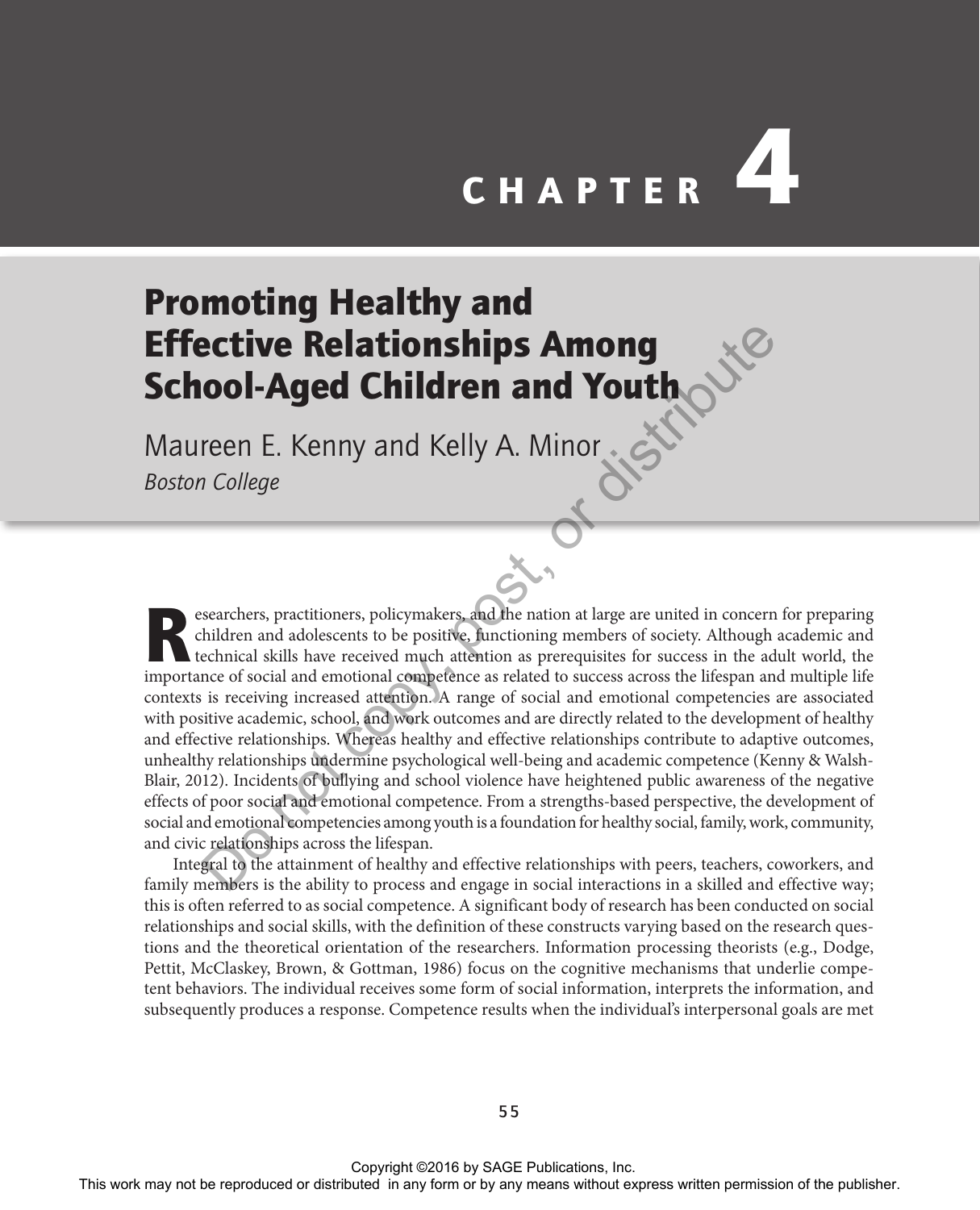# **CHAPTER**

# Promoting Healthy and Effective Relationships Among School-Aged Children and Youth

Maureen E. Kenny and Kelly A. Minor *Boston College*

esearchers, practitioners, policymakers, and the nation at large are united in concern for preparing children and adolescents to be positive, functioning members of society. Although academic and technical skills have received much attention as prerequisites for success in the adult world, the importance of social and emotional competence as related to success across the lifespan and multiple life contexts is receiving increased attention. A range of social and emotional competencies are associated with positive academic, school, and work outcomes and are directly related to the development of healthy and effective relationships. Whereas healthy and effective relationships contribute to adaptive outcomes, unhealthy relationships undermine psychological well-being and academic competence (Kenny & Walsh-Blair, 2012). Incidents of bullying and school violence have heightened public awareness of the negative effects of poor social and emotional competence. From a strengths-based perspective, the development of social and emotional competencies among youth is a foundation for healthy social, family, work, community, and civic relationships across the lifespan. **Effective Relationships Among**<br>
Maureen E. Kenny and Kelly A. Minor and an angency method of the received media of the results of the publisher and the publisher and the publisher and the publisher and any form or any met

Integral to the attainment of healthy and effective relationships with peers, teachers, coworkers, and family members is the ability to process and engage in social interactions in a skilled and effective way; this is often referred to as social competence. A significant body of research has been conducted on social relationships and social skills, with the definition of these constructs varying based on the research questions and the theoretical orientation of the researchers. Information processing theorists (e.g., Dodge, Pettit, McClaskey, Brown, & Gottman, 1986) focus on the cognitive mechanisms that underlie competent behaviors. The individual receives some form of social information, interprets the information, and subsequently produces a response. Competence results when the individual's interpersonal goals are met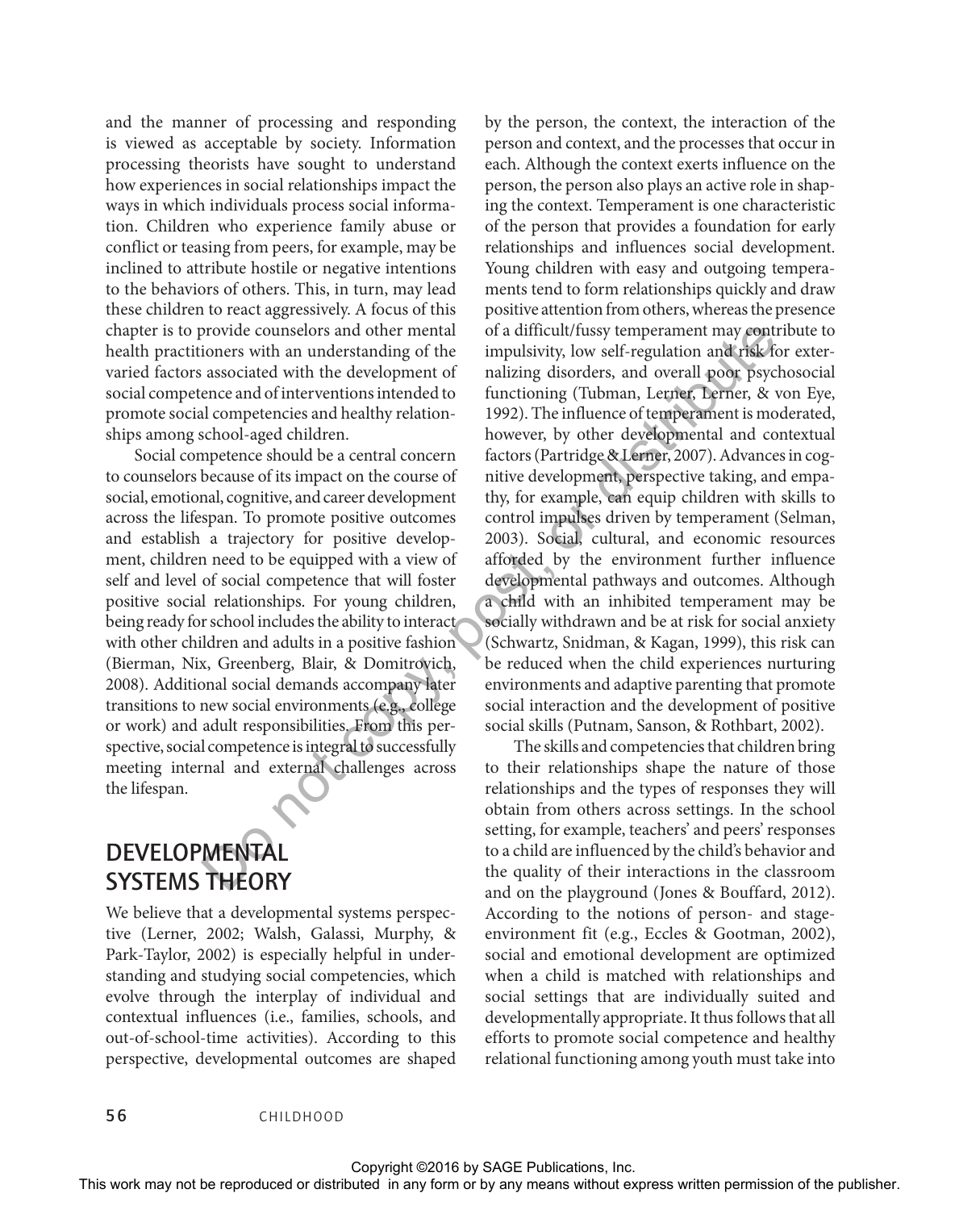and the manner of processing and responding is viewed as acceptable by society. Information processing theorists have sought to understand how experiences in social relationships impact the ways in which individuals process social information. Children who experience family abuse or conflict or teasing from peers, for example, may be inclined to attribute hostile or negative intentions to the behaviors of others. This, in turn, may lead these children to react aggressively. A focus of this chapter is to provide counselors and other mental health practitioners with an understanding of the varied factors associated with the development of social competence and of interventions intended to promote social competencies and healthy relationships among school-aged children.

Social competence should be a central concern to counselors because of its impact on the course of social, emotional, cognitive, and career development across the lifespan. To promote positive outcomes and establish a trajectory for positive development, children need to be equipped with a view of self and level of social competence that will foster positive social relationships. For young children, being ready for school includes the ability to interact with other children and adults in a positive fashion (Bierman, Nix, Greenberg, Blair, & Domitrovich, 2008). Additional social demands accompany later transitions to new social environments (e.g., college or work) and adult responsibilities. From this perspective, social competence is integral to successfully meeting internal and external challenges across the lifespan.

#### **DEVELOPMENTAL** SYSTEMS THEORY

We believe that a developmental systems perspective (Lerner, 2002; Walsh, Galassi, Murphy, & Park-Taylor, 2002) is especially helpful in understanding and studying social competencies, which evolve through the interplay of individual and contextual influences (i.e., families, schools, and out-of-school-time activities). According to this perspective, developmental outcomes are shaped

by the person, the context, the interaction of the person and context, and the processes that occur in each. Although the context exerts influence on the person, the person also plays an active role in shaping the context. Temperament is one characteristic of the person that provides a foundation for early relationships and influences social development. Young children with easy and outgoing temperaments tend to form relationships quickly and draw positive attention from others, whereas the presence of a difficult/fussy temperament may contribute to impulsivity, low self-regulation and risk for externalizing disorders, and overall poor psychosocial functioning (Tubman, Lerner, Lerner, & von Eye, 1992). The influence of temperament is moderated, however, by other developmental and contextual factors (Partridge & Lerner, 2007). Advances in cognitive development, perspective taking, and empathy, for example, can equip children with skills to control impulses driven by temperament (Selman, 2003). Social, cultural, and economic resources afforded by the environment further influence developmental pathways and outcomes. Although a child with an inhibited temperament may be socially withdrawn and be at risk for social anxiety (Schwartz, Snidman, & Kagan, 1999), this risk can be reduced when the child experiences nurturing environments and adaptive parenting that promote social interaction and the development of positive social skills (Putnam, Sanson, & Rothbart, 2002). Chapter is to their residue to the method or distributions we means the control or the chapter or the publisher or distributed in any form or by any means without expression or the publisher. This work means were also con

The skills and competencies that children bring to their relationships shape the nature of those relationships and the types of responses they will obtain from others across settings. In the school setting, for example, teachers' and peers' responses to a child are influenced by the child's behavior and the quality of their interactions in the classroom and on the playground (Jones & Bouffard, 2012). According to the notions of person- and stageenvironment fit (e.g., Eccles & Gootman, 2002), social and emotional development are optimized when a child is matched with relationships and social settings that are individually suited and developmentally appropriate. It thus follows that all efforts to promote social competence and healthy relational functioning among youth must take into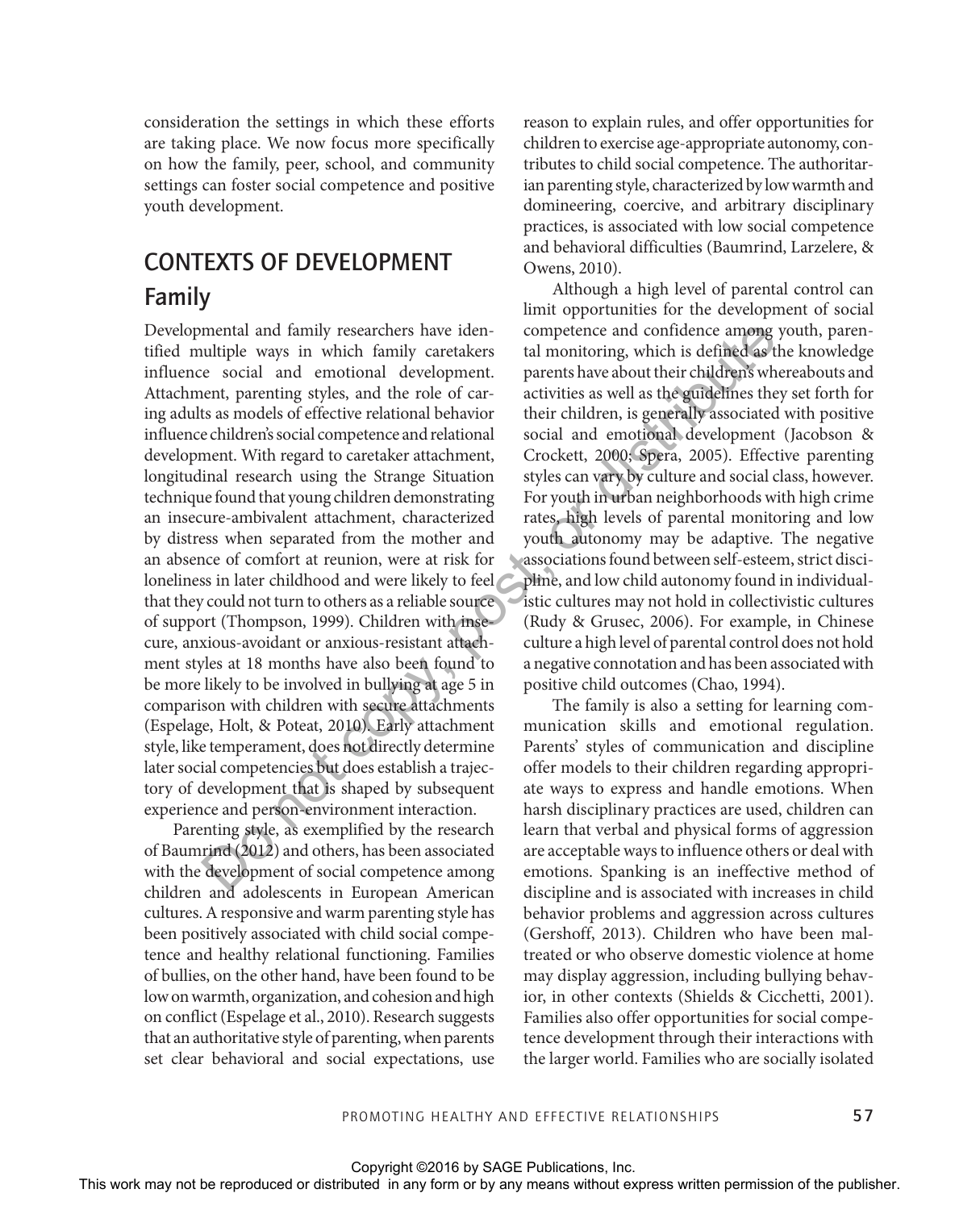consideration the settings in which these efforts are taking place. We now focus more specifically on how the family, peer, school, and community settings can foster social competence and positive youth development.

#### CONTEXTS OF DEVELOPMENT Family

Developmental and family researchers have identified multiple ways in which family caretakers influence social and emotional development. Attachment, parenting styles, and the role of caring adults as models of effective relational behavior influence children's social competence and relational development. With regard to caretaker attachment, longitudinal research using the Strange Situation technique found that young children demonstrating an insecure-ambivalent attachment, characterized by distress when separated from the mother and an absence of comfort at reunion, were at risk for loneliness in later childhood and were likely to feel that they could not turn to others as a reliable source of support (Thompson, 1999). Children with insecure, anxious-avoidant or anxious-resistant attachment styles at 18 months have also been found to be more likely to be involved in bullying at age 5 in comparison with children with secure attachments (Espelage, Holt, & Poteat, 2010). Early attachment style, like temperament, does not directly determine later social competencies but does establish a trajectory of development that is shaped by subsequent experience and person-environment interaction. Developmental or distributed or distributed in any form of the computed in any distributed in any form or by any means whose the representations and the relations when the relations with the relations with the relations w

Parenting style, as exemplified by the research of Baumrind (2012) and others, has been associated with the development of social competence among children and adolescents in European American cultures. A responsive and warm parenting style has been positively associated with child social competence and healthy relational functioning. Families of bullies, on the other hand, have been found to be low on warmth, organization, and cohesion and high on conflict (Espelage et al., 2010). Research suggests that an authoritative style of parenting, when parents set clear behavioral and social expectations, use

reason to explain rules, and offer opportunities for children to exercise age-appropriate autonomy, contributes to child social competence. The authoritarian parenting style, characterized by low warmth and domineering, coercive, and arbitrary disciplinary practices, is associated with low social competence and behavioral difficulties (Baumrind, Larzelere, & Owens, 2010).

Although a high level of parental control can limit opportunities for the development of social competence and confidence among youth, parental monitoring, which is defined as the knowledge parents have about their children's whereabouts and activities as well as the guidelines they set forth for their children, is generally associated with positive social and emotional development (Jacobson & Crockett, 2000; Spera, 2005). Effective parenting styles can vary by culture and social class, however. For youth in urban neighborhoods with high crime rates, high levels of parental monitoring and low youth autonomy may be adaptive. The negative associations found between self-esteem, strict discipline, and low child autonomy found in individualistic cultures may not hold in collectivistic cultures (Rudy & Grusec, 2006). For example, in Chinese culture a high level of parental control does not hold a negative connotation and has been associated with positive child outcomes (Chao, 1994).

The family is also a setting for learning communication skills and emotional regulation. Parents' styles of communication and discipline offer models to their children regarding appropriate ways to express and handle emotions. When harsh disciplinary practices are used, children can learn that verbal and physical forms of aggression are acceptable ways to influence others or deal with emotions. Spanking is an ineffective method of discipline and is associated with increases in child behavior problems and aggression across cultures (Gershoff, 2013). Children who have been maltreated or who observe domestic violence at home may display aggression, including bullying behavior, in other contexts (Shields & Cicchetti, 2001). Families also offer opportunities for social competence development through their interactions with the larger world. Families who are socially isolated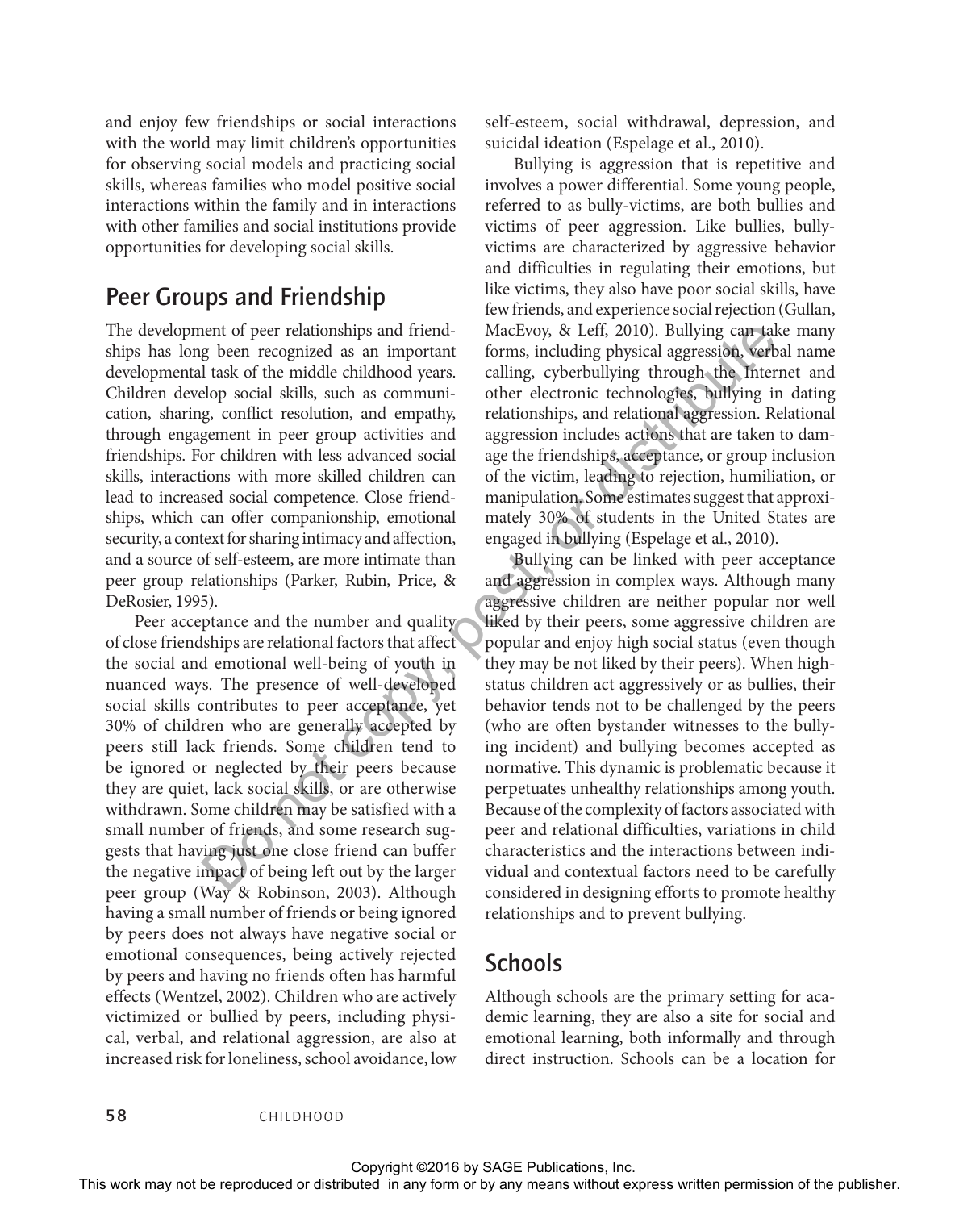and enjoy few friendships or social interactions with the world may limit children's opportunities for observing social models and practicing social skills, whereas families who model positive social interactions within the family and in interactions with other families and social institutions provide opportunities for developing social skills.

#### Peer Groups and Friendship

The development of peer relationships and friendships has long been recognized as an important developmental task of the middle childhood years. Children develop social skills, such as communication, sharing, conflict resolution, and empathy, through engagement in peer group activities and friendships. For children with less advanced social skills, interactions with more skilled children can lead to increased social competence. Close friendships, which can offer companionship, emotional security, a context for sharing intimacy and affection, and a source of self-esteem, are more intimate than peer group relationships (Parker, Rubin, Price, & DeRosier, 1995).

Peer acceptance and the number and quality of close friendships are relational factors that affect the social and emotional well-being of youth in nuanced ways. The presence of well-developed social skills contributes to peer acceptance, yet 30% of children who are generally accepted by peers still lack friends. Some children tend to be ignored or neglected by their peers because they are quiet, lack social skills, or are otherwise withdrawn. Some children may be satisfied with a small number of friends, and some research suggests that having just one close friend can buffer the negative impact of being left out by the larger peer group (Way & Robinson, 2003). Although having a small number of friends or being ignored by peers does not always have negative social or emotional consequences, being actively rejected by peers and having no friends often has harmful effects (Wentzel, 2002). Children who are actively victimized or bullied by peers, including physical, verbal, and relational aggression, are also at increased risk for loneliness, school avoidance, low The decelepton of the relationship samely free the relationship and the relationship is a state of the relation of the relation of the relationship is the relation of the relationship is the relationship of the relationsh

self-esteem, social withdrawal, depression, and suicidal ideation (Espelage et al., 2010).

Bullying is aggression that is repetitive and involves a power differential. Some young people, referred to as bully-victims, are both bullies and victims of peer aggression. Like bullies, bullyvictims are characterized by aggressive behavior and difficulties in regulating their emotions, but like victims, they also have poor social skills, have few friends, and experience social rejection (Gullan, MacEvoy, & Leff, 2010). Bullying can take many forms, including physical aggression, verbal name calling, cyberbullying through the Internet and other electronic technologies, bullying in dating relationships, and relational aggression. Relational aggression includes actions that are taken to damage the friendships, acceptance, or group inclusion of the victim, leading to rejection, humiliation, or manipulation. Some estimates suggest that approximately 30% of students in the United States are engaged in bullying (Espelage et al., 2010).

Bullying can be linked with peer acceptance and aggression in complex ways. Although many aggressive children are neither popular nor well liked by their peers, some aggressive children are popular and enjoy high social status (even though they may be not liked by their peers). When highstatus children act aggressively or as bullies, their behavior tends not to be challenged by the peers (who are often bystander witnesses to the bullying incident) and bullying becomes accepted as normative. This dynamic is problematic because it perpetuates unhealthy relationships among youth. Because of the complexity of factors associated with peer and relational difficulties, variations in child characteristics and the interactions between individual and contextual factors need to be carefully considered in designing efforts to promote healthy relationships and to prevent bullying.

#### Schools

Although schools are the primary setting for academic learning, they are also a site for social and emotional learning, both informally and through direct instruction. Schools can be a location for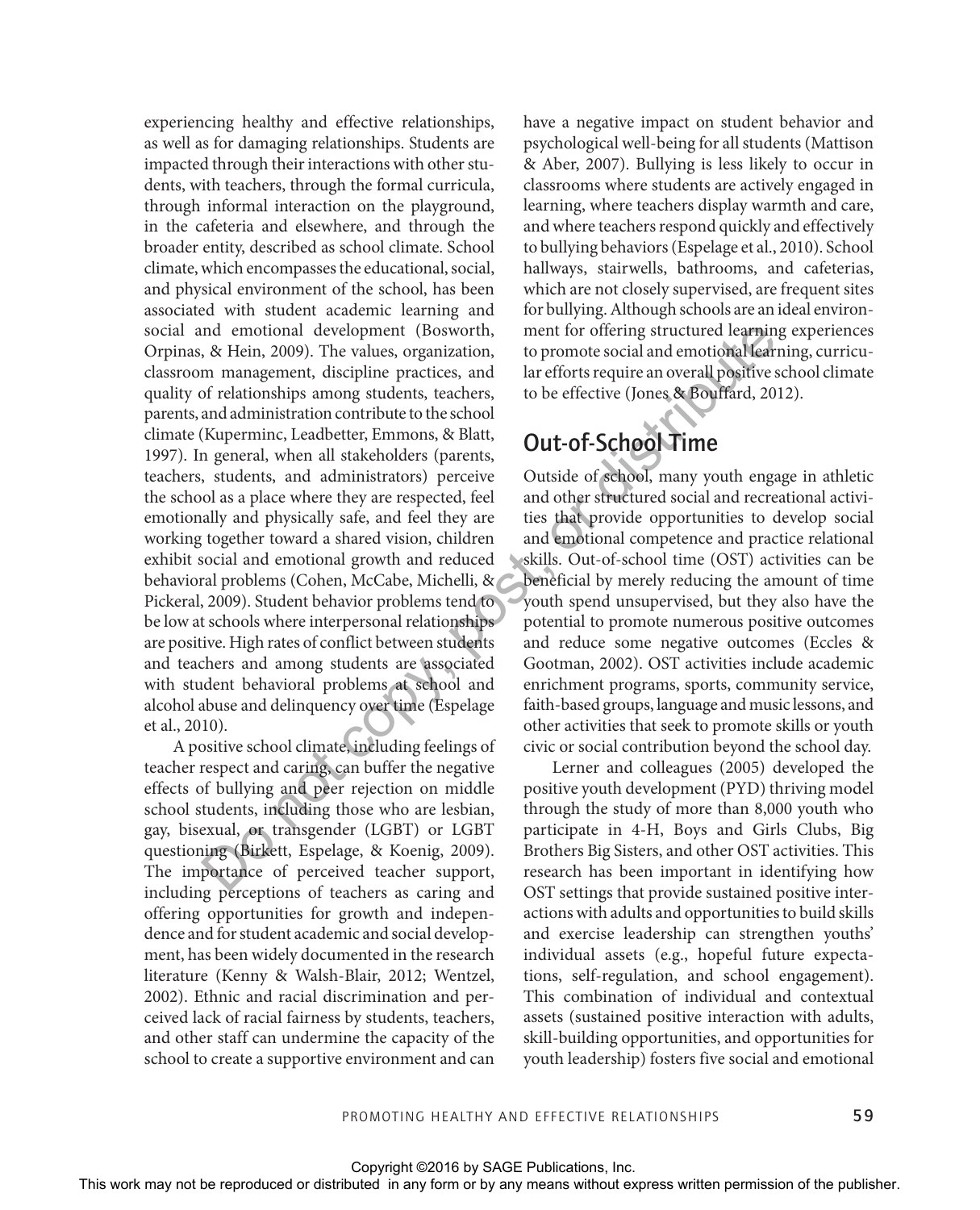experiencing healthy and effective relationships, as well as for damaging relationships. Students are impacted through their interactions with other students, with teachers, through the formal curricula, through informal interaction on the playground, in the cafeteria and elsewhere, and through the broader entity, described as school climate. School climate, which encompasses the educational, social, and physical environment of the school, has been associated with student academic learning and social and emotional development (Bosworth, Orpinas, & Hein, 2009). The values, organization, classroom management, discipline practices, and quality of relationships among students, teachers, parents, and administration contribute to the school climate (Kuperminc, Leadbetter, Emmons, & Blatt, 1997). In general, when all stakeholders (parents, teachers, students, and administrators) perceive the school as a place where they are respected, feel emotionally and physically safe, and feel they are working together toward a shared vision, children exhibit social and emotional growth and reduced behavioral problems (Cohen, McCabe, Michelli, & Pickeral, 2009). Student behavior problems tend to be low at schools where interpersonal relationships are positive. High rates of conflict between students and teachers and among students are associated with student behavioral problems at school and alcohol abuse and delinquency over time (Espelage et al., 2010). social and enouted development (Backwork), mean for or lieting structure learned in any form or distributed in any form or by any means which any form or the publisher permission of the publisher permission of the publishe

A positive school climate, including feelings of teacher respect and caring, can buffer the negative effects of bullying and peer rejection on middle school students, including those who are lesbian, gay, bisexual, or transgender (LGBT) or LGBT questioning (Birkett, Espelage, & Koenig, 2009). The importance of perceived teacher support, including perceptions of teachers as caring and offering opportunities for growth and independence and for student academic and social development, has been widely documented in the research literature (Kenny & Walsh-Blair, 2012; Wentzel, 2002). Ethnic and racial discrimination and perceived lack of racial fairness by students, teachers, and other staff can undermine the capacity of the school to create a supportive environment and can

have a negative impact on student behavior and psychological well-being for all students (Mattison & Aber, 2007). Bullying is less likely to occur in classrooms where students are actively engaged in learning, where teachers display warmth and care, and where teachers respond quickly and effectively to bullying behaviors (Espelage et al., 2010). School hallways, stairwells, bathrooms, and cafeterias, which are not closely supervised, are frequent sites for bullying. Although schools are an ideal environment for offering structured learning experiences to promote social and emotional learning, curricular efforts require an overall positive school climate to be effective (Jones & Bouffard, 2012).

## Out-of-School Time

Outside of school, many youth engage in athletic and other structured social and recreational activities that provide opportunities to develop social and emotional competence and practice relational skills. Out-of-school time (OST) activities can be beneficial by merely reducing the amount of time youth spend unsupervised, but they also have the potential to promote numerous positive outcomes and reduce some negative outcomes (Eccles & Gootman, 2002). OST activities include academic enrichment programs, sports, community service, faith-based groups, language and music lessons, and other activities that seek to promote skills or youth civic or social contribution beyond the school day.

Lerner and colleagues (2005) developed the positive youth development (PYD) thriving model through the study of more than 8,000 youth who participate in 4-H, Boys and Girls Clubs, Big Brothers Big Sisters, and other OST activities. This research has been important in identifying how OST settings that provide sustained positive interactions with adults and opportunities to build skills and exercise leadership can strengthen youths' individual assets (e.g., hopeful future expectations, self-regulation, and school engagement). This combination of individual and contextual assets (sustained positive interaction with adults, skill-building opportunities, and opportunities for youth leadership) fosters five social and emotional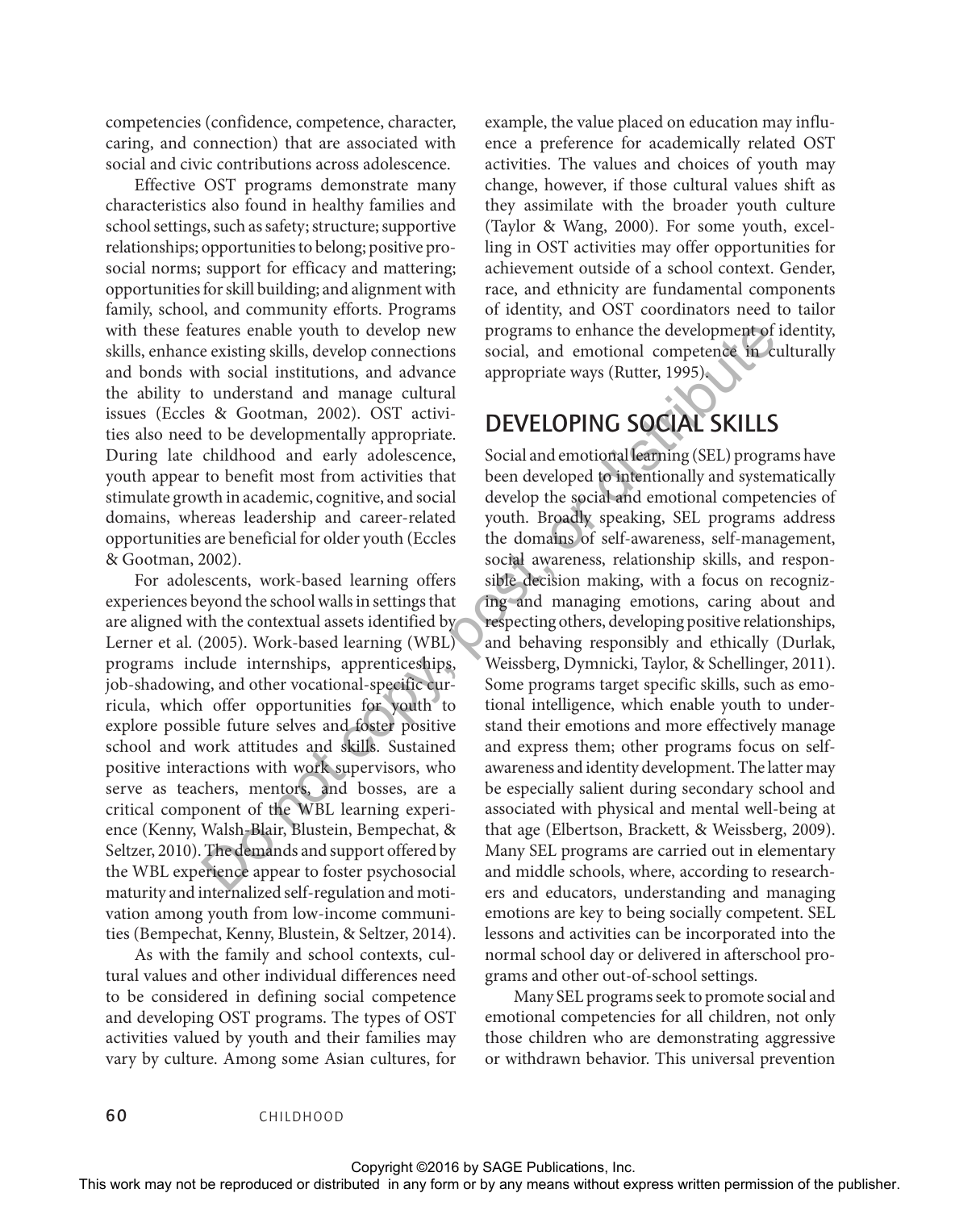competencies (confidence, competence, character, caring, and connection) that are associated with social and civic contributions across adolescence.

Effective OST programs demonstrate many characteristics also found in healthy families and school settings, such as safety; structure; supportive relationships; opportunities to belong; positive prosocial norms; support for efficacy and mattering; opportunities for skill building; and alignment with family, school, and community efforts. Programs with these features enable youth to develop new skills, enhance existing skills, develop connections and bonds with social institutions, and advance the ability to understand and manage cultural issues (Eccles & Gootman, 2002). OST activities also need to be developmentally appropriate. During late childhood and early adolescence, youth appear to benefit most from activities that stimulate growth in academic, cognitive, and social domains, whereas leadership and career-related opportunities are beneficial for older youth (Eccles & Gootman, 2002).

For adolescents, work-based learning offers experiences beyond the school walls in settings that are aligned with the contextual assets identified by Lerner et al. (2005). Work-based learning (WBL) programs include internships, apprenticeships, job-shadowing, and other vocational-specific curricula, which offer opportunities for youth to explore possible future selves and foster positive school and work attitudes and skills. Sustained positive interactions with work supervisors, who serve as teachers, mentors, and bosses, are a critical component of the WBL learning experience (Kenny, Walsh-Blair, Blustein, Bempechat, & Seltzer, 2010). The demands and support offered by the WBL experience appear to foster psychosocial maturity and internalized self-regulation and motivation among youth from low-income communities (Bempechat, Kenny, Blustein, & Seltzer, 2014).

As with the family and school contexts, cultural values and other individual differences need to be considered in defining social competence and developing OST programs. The types of OST activities valued by youth and their families may vary by culture. Among some Asian cultures, for

example, the value placed on education may influence a preference for academically related OST activities. The values and choices of youth may change, however, if those cultural values shift as they assimilate with the broader youth culture (Taylor & Wang, 2000). For some youth, excelling in OST activities may offer opportunities for achievement outside of a school context. Gender, race, and ethnicity are fundamental components of identity, and OST coordinators need to tailor programs to enhance the development of identity, social, and emotional competence in culturally appropriate ways (Rutter, 1995).

#### DEVELOPING SOCIAL SKILLS

Social and emotional learning (SEL) programs have been developed to intentionally and systematically develop the social and emotional competencies of youth. Broadly speaking, SEL programs address the domains of self-awareness, self-management, social awareness, relationship skills, and responsible decision making, with a focus on recognizing and managing emotions, caring about and respecting others, developing positive relationships, and behaving responsibly and ethically (Durlak, Weissberg, Dymnicki, Taylor, & Schellinger, 2011). Some programs target specific skills, such as emotional intelligence, which enable youth to understand their emotions and more effectively manage and express them; other programs focus on selfawareness and identity development. The latter may be especially salient during secondary school and associated with physical and mental well-being at that age (Elbertson, Brackett, & Weissberg, 2009). Many SEL programs are carried out in elementary and middle schools, where, according to researchers and educators, understanding and managing emotions are key to being socially competent. SEL lessons and activities can be incorporated into the normal school day or delivered in afterschool programs and other out-of-school settings. with these features ends by and a control or distributed in any form or be reproduced or distributed in any form or by any form or by any form or by any form or by any distributed in a behavior of the solity to understand

Many SEL programs seek to promote social and emotional competencies for all children, not only those children who are demonstrating aggressive or withdrawn behavior. This universal prevention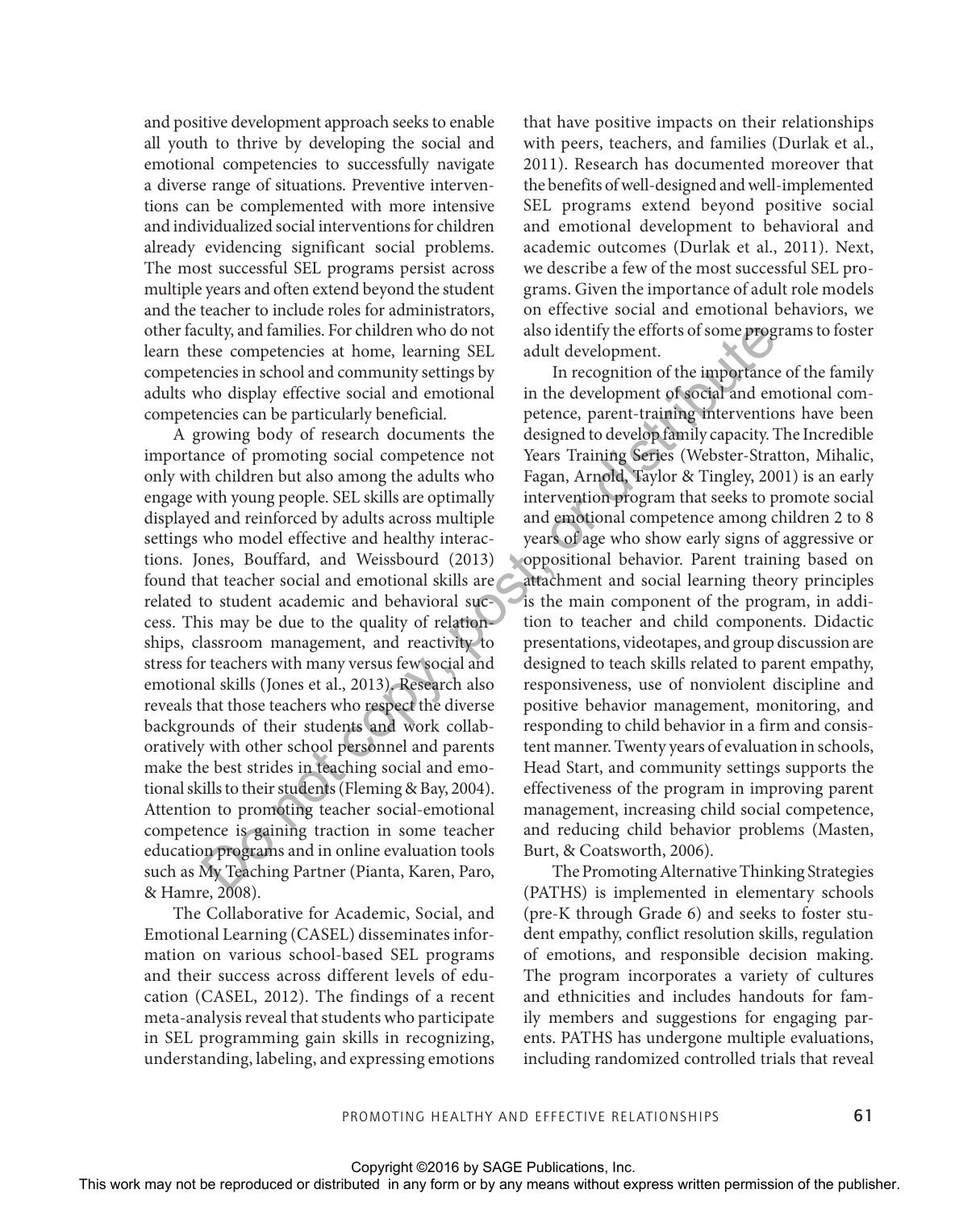and positive development approach seeks to enable all youth to thrive by developing the social and emotional competencies to successfully navigate a diverse range of situations. Preventive interventions can be complemented with more intensive and individualized social interventions for children already evidencing significant social problems. The most successful SEL programs persist across multiple years and often extend beyond the student and the teacher to include roles for administrators, other faculty, and families. For children who do not learn these competencies at home, learning SEL competencies in school and community settings by adults who display effective social and emotional competencies can be particularly beneficial.

A growing body of research documents the importance of promoting social competence not only with children but also among the adults who engage with young people. SEL skills are optimally displayed and reinforced by adults across multiple settings who model effective and healthy interactions. Jones, Bouffard, and Weissbourd (2013) found that teacher social and emotional skills are related to student academic and behavioral success. This may be due to the quality of relationships, classroom management, and reactivity to stress for teachers with many versus few social and emotional skills (Jones et al., 2013). Research also reveals that those teachers who respect the diverse backgrounds of their students and work collaboratively with other school personnel and parents make the best strides in teaching social and emotional skills to their students (Fleming & Bay, 2004). Attention to promoting teacher social-emotional competence is gaining traction in some teacher education programs and in online evaluation tools such as My Teaching Partner (Pianta, Karen, Paro, & Hamre, 2008).

The Collaborative for Academic, Social, and Emotional Learning (CASEL) disseminates information on various school-based SEL programs and their success across different levels of education (CASEL, 2012). The findings of a recent meta-analysis reveal that students who participate in SEL programming gain skills in recognizing, understanding, labeling, and expressing emotions

that have positive impacts on their relationships with peers, teachers, and families (Durlak et al., 2011). Research has documented moreover that the benefits of well-designed and well-implemented SEL programs extend beyond positive social and emotional development to behavioral and academic outcomes (Durlak et al., 2011). Next, we describe a few of the most successful SEL programs. Given the importance of adult role models on effective social and emotional behaviors, we also identify the efforts of some programs to foster adult development.

In recognition of the importance of the family in the development of social and emotional competence, parent-training interventions have been designed to develop family capacity. The Incredible Years Training Series (Webster-Stratton, Mihalic, Fagan, Arnold, Taylor & Tingley, 2001) is an early intervention program that seeks to promote social and emotional competence among children 2 to 8 years of age who show early signs of aggressive or oppositional behavior. Parent training based on attachment and social learning theory principles is the main component of the program, in addition to teacher and child components. Didactic presentations, videotapes, and group discussion are designed to teach skills related to parent empathy, responsiveness, use of nonviolent discipline and positive behavior management, monitoring, and responding to child behavior in a firm and consistent manner. Twenty years of evaluation in schools, Head Start, and community settings supports the effectiveness of the program in improving parent management, increasing child social competence, and reducing child behavior problems (Masten, Burt, & Coatsworth, 2006). of the may not be reproduced or distributed or distributed or distributed in any form or the response to the response to the may be the competent of the publisher of the may not be reproduced in a content of the publisher

The Promoting Alternative Thinking Strategies (PATHS) is implemented in elementary schools (pre-K through Grade 6) and seeks to foster student empathy, conflict resolution skills, regulation of emotions, and responsible decision making. The program incorporates a variety of cultures and ethnicities and includes handouts for family members and suggestions for engaging parents. PATHS has undergone multiple evaluations, including randomized controlled trials that reveal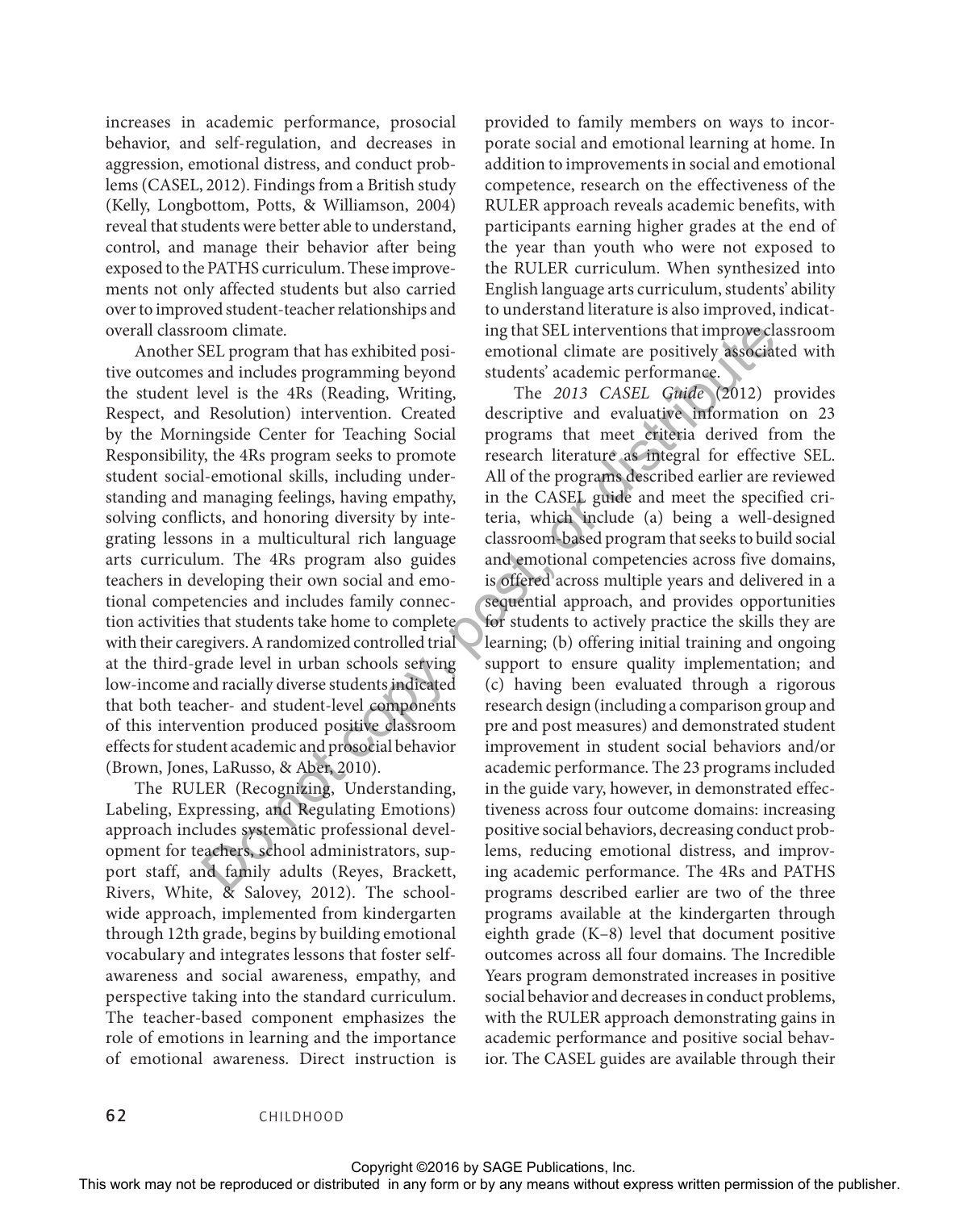increases in academic performance, prosocial behavior, and self-regulation, and decreases in aggression, emotional distress, and conduct problems (CASEL, 2012). Findings from a British study (Kelly, Longbottom, Potts, & Williamson, 2004) reveal that students were better able to understand, control, and manage their behavior after being exposed to the PATHS curriculum. These improvements not only affected students but also carried over to improved student-teacher relationships and overall classroom climate.

Another SEL program that has exhibited positive outcomes and includes programming beyond the student level is the 4Rs (Reading, Writing, Respect, and Resolution) intervention. Created by the Morningside Center for Teaching Social Responsibility, the 4Rs program seeks to promote student social-emotional skills, including understanding and managing feelings, having empathy, solving conflicts, and honoring diversity by integrating lessons in a multicultural rich language arts curriculum. The 4Rs program also guides teachers in developing their own social and emotional competencies and includes family connection activities that students take home to complete with their caregivers. A randomized controlled trial at the third-grade level in urban schools serving low-income and racially diverse students indicated that both teacher- and student-level components of this intervention produced positive classroom effects for student academic and prosocial behavior (Brown, Jones, LaRusso, & Aber, 2010).

The RULER (Recognizing, Understanding, Labeling, Expressing, and Regulating Emotions) approach includes systematic professional development for teachers, school administrators, support staff, and family adults (Reyes, Brackett, Rivers, White, & Salovey, 2012). The schoolwide approach, implemented from kindergarten through 12th grade, begins by building emotional vocabulary and integrates lessons that foster selfawareness and social awareness, empathy, and perspective taking into the standard curriculum. The teacher-based component emphasizes the role of emotions in learning and the importance of emotional awareness. Direct instruction is

provided to family members on ways to incorporate social and emotional learning at home. In addition to improvements in social and emotional competence, research on the effectiveness of the RULER approach reveals academic benefits, with participants earning higher grades at the end of the year than youth who were not exposed to the RULER curriculum. When synthesized into English language arts curriculum, students' ability to understand literature is also improved, indicating that SEL interventions that improve classroom emotional climate are positively associated with students' academic performance.

The *2013 CASEL Guide* (2012) provides descriptive and evaluative information on 23 programs that meet criteria derived from the research literature as integral for effective SEL. All of the programs described earlier are reviewed in the CASEL guide and meet the specified criteria, which include (a) being a well-designed classroom-based program that seeks to build social and emotional competencies across five domains, is offered across multiple years and delivered in a sequential approach, and provides opportunities for students to actively practice the skills they are learning; (b) offering initial training and ongoing support to ensure quality implementation; and (c) having been evaluated through a rigorous research design (including a comparison group and pre and post measures) and demonstrated student improvement in student social behaviors and/or academic performance. The 23 programs included in the guide vary, however, in demonstrated effectiveness across four outcome domains: increasing positive social behaviors, decreasing conduct problems, reducing emotional distress, and improving academic performance. The 4Rs and PATHS programs described earlier are two of the three programs available at the kindergarten through eighth grade (K–8) level that document positive outcomes across all four domains. The Incredible Years program demonstrated increases in positive social behavior and decreases in conduct problems, with the RULER approach demonstrating gains in academic performance and positive social behavior. The CASEL guides are available through their or<br>express and order or the reproduced or distributed permission in the representation of the representation or<br>the student level in the fRR (Reading, Writing. The 2013 CASEL Guiden<br>(performance) the student level in a fR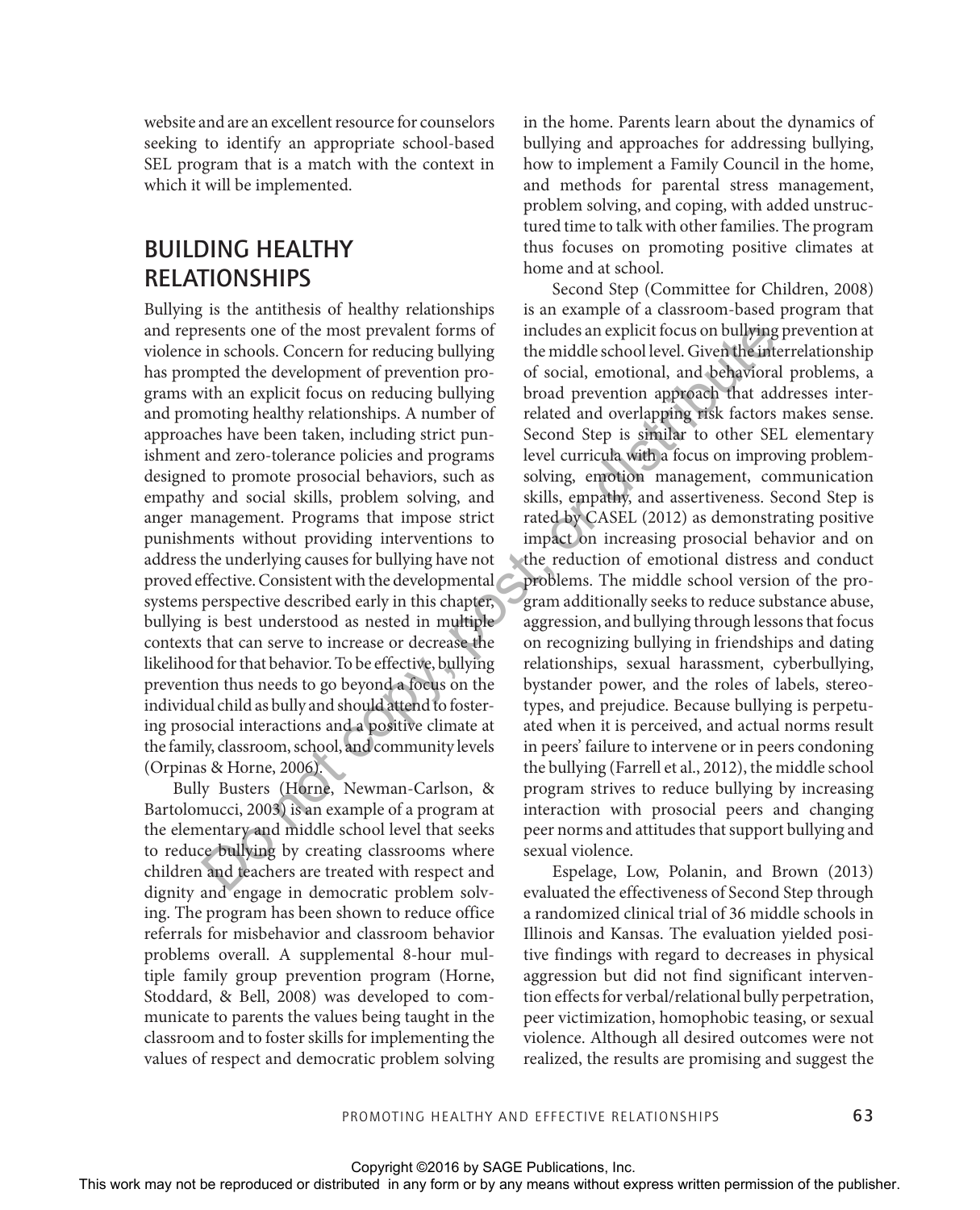website and are an excellent resource for counselors seeking to identify an appropriate school-based SEL program that is a match with the context in which it will be implemented.

#### BUILDING HEALTHY RELATIONSHIPS

Bullying is the antithesis of healthy relationships and represents one of the most prevalent forms of violence in schools. Concern for reducing bullying has prompted the development of prevention programs with an explicit focus on reducing bullying and promoting healthy relationships. A number of approaches have been taken, including strict punishment and zero-tolerance policies and programs designed to promote prosocial behaviors, such as empathy and social skills, problem solving, and anger management. Programs that impose strict punishments without providing interventions to address the underlying causes for bullying have not proved effective. Consistent with the developmental systems perspective described early in this chapter, bullying is best understood as nested in multiple contexts that can serve to increase or decrease the likelihood for that behavior. To be effective, bullying prevention thus needs to go beyond a focus on the individual child as bully and should attend to fostering prosocial interactions and a positive climate at the family, classroom, school, and community levels (Orpinas & Horne, 2006).

Bully Busters (Horne, Newman-Carlson, & Bartolomucci, 2003) is an example of a program at the elementary and middle school level that seeks to reduce bullying by creating classrooms where children and teachers are treated with respect and dignity and engage in democratic problem solving. The program has been shown to reduce office referrals for misbehavior and classroom behavior problems overall. A supplemental 8-hour multiple family group prevention program (Horne, Stoddard, & Bell, 2008) was developed to communicate to parents the values being taught in the classroom and to foster skills for implementing the values of respect and democratic problem solving in the home. Parents learn about the dynamics of bullying and approaches for addressing bullying, how to implement a Family Council in the home, and methods for parental stress management, problem solving, and coping, with added unstructured time to talk with other families. The program thus focuses on promoting positive climates at home and at school.

Second Step (Committee for Children, 2008) is an example of a classroom-based program that includes an explicit focus on bullying prevention at the middle school level. Given the interrelationship of social, emotional, and behavioral problems, a broad prevention approach that addresses interrelated and overlapping risk factors makes sense. Second Step is similar to other SEL elementary level curricula with a focus on improving problemsolving, emotion management, communication skills, empathy, and assertiveness. Second Step is rated by CASEL (2012) as demonstrating positive impact on increasing prosocial behavior and on the reduction of emotional distress and conduct problems. The middle school version of the program additionally seeks to reduce substance abuse, aggression, and bullying through lessons that focus on recognizing bullying in friendships and dating relationships, sexual harassment, cyberbullying, bystander power, and the roles of labels, stereotypes, and prejudice. Because bullying is perpetuated when it is perceived, and actual norms result in peers' failure to intervene or in peers condoning the bullying (Farrell et al., 2012), the middle school program strives to reduce bullying by increasing interaction with prosocial peers and changing peer norms and attitudes that support bullying and sexual violence. and equisions of the reproduced or distributed in any form of the stributed in any form of the reproduced or distributed in any form or by any means with an explicit from or a contemporal in any form or by any means with

Espelage, Low, Polanin, and Brown (2013) evaluated the effectiveness of Second Step through a randomized clinical trial of 36 middle schools in Illinois and Kansas. The evaluation yielded positive findings with regard to decreases in physical aggression but did not find significant intervention effects for verbal/relational bully perpetration, peer victimization, homophobic teasing, or sexual violence. Although all desired outcomes were not realized, the results are promising and suggest the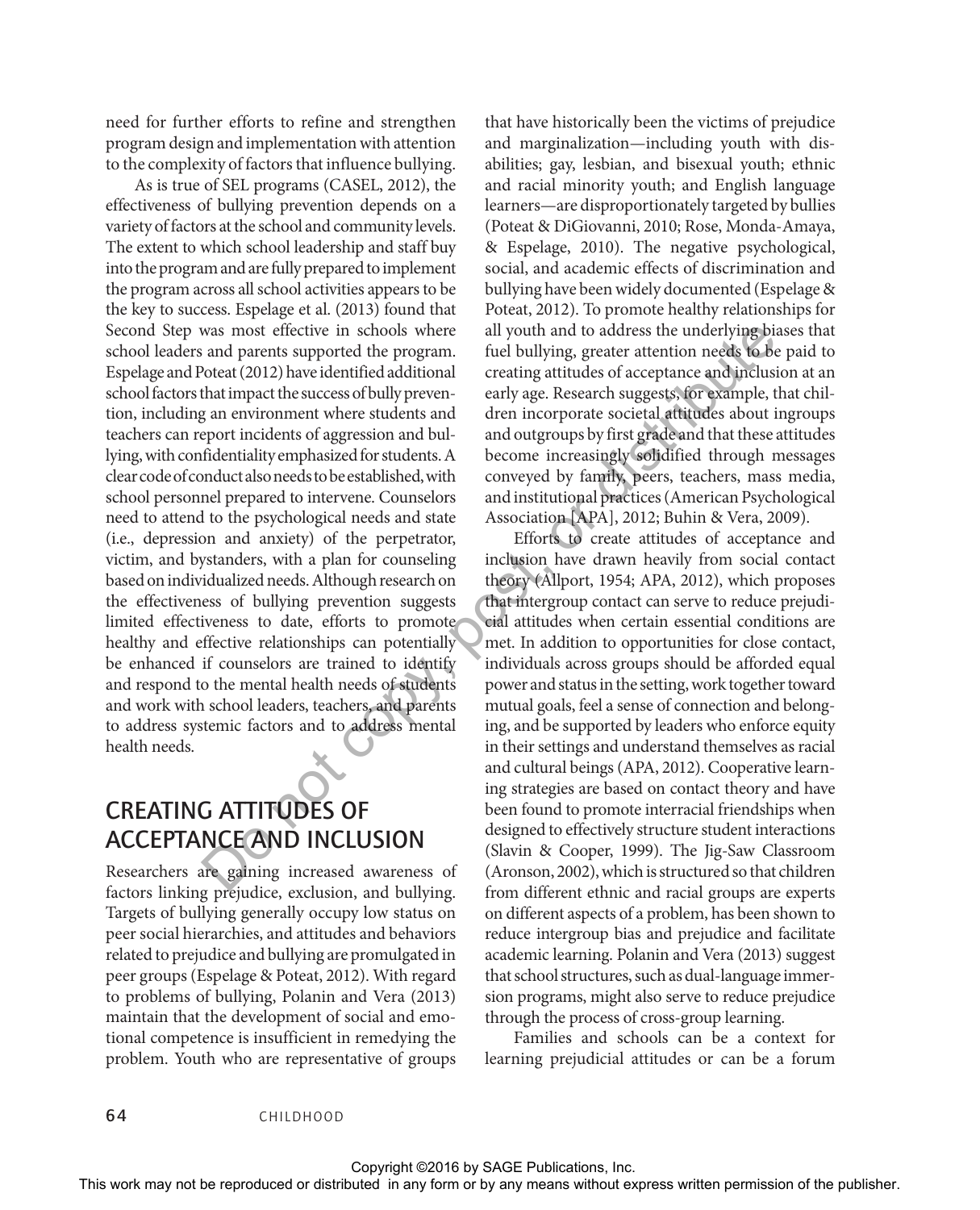need for further efforts to refine and strengthen program design and implementation with attention to the complexity of factors that influence bullying.

As is true of SEL programs (CASEL, 2012), the effectiveness of bullying prevention depends on a variety of factors at the school and community levels. The extent to which school leadership and staff buy into the program and are fully prepared to implement the program across all school activities appears to be the key to success. Espelage et al. (2013) found that Second Step was most effective in schools where school leaders and parents supported the program. Espelage and Poteat (2012) have identified additional school factors that impact the success of bully prevention, including an environment where students and teachers can report incidents of aggression and bullying, with confidentiality emphasized for students. A clear code of conduct also needs to be established, with school personnel prepared to intervene. Counselors need to attend to the psychological needs and state (i.e., depression and anxiety) of the perpetrator, victim, and bystanders, with a plan for counseling based on individualized needs. Although research on the effectiveness of bullying prevention suggests limited effectiveness to date, efforts to promote healthy and effective relationships can potentially be enhanced if counselors are trained to identify and respond to the mental health needs of students and work with school leaders, teachers, and parents to address systemic factors and to address mental health needs.

#### CREATING ATTITUDES OF ACCEPTANCE AND INCLUSION

Researchers are gaining increased awareness of factors linking prejudice, exclusion, and bullying. Targets of bullying generally occupy low status on peer social hierarchies, and attitudes and behaviors related to prejudice and bullying are promulgated in peer groups (Espelage & Poteat, 2012). With regard to problems of bullying, Polanin and Vera (2013) maintain that the development of social and emotional competence is insufficient in remedying the problem. Youth who are representative of groups

that have historically been the victims of prejudice and marginalization—including youth with disabilities; gay, lesbian, and bisexual youth; ethnic and racial minority youth; and English language learners—are disproportionately targeted by bullies (Poteat & DiGiovanni, 2010; Rose, Monda-Amaya, & Espelage, 2010). The negative psychological, social, and academic effects of discrimination and bullying have been widely documented (Espelage & Poteat, 2012). To promote healthy relationships for all youth and to address the underlying biases that fuel bullying, greater attention needs to be paid to creating attitudes of acceptance and inclusion at an early age. Research suggests, for example, that children incorporate societal attitudes about ingroups and outgroups by first grade and that these attitudes become increasingly solidified through messages conveyed by family, peers, teachers, mass media, and institutional practices (American Psychological Association [APA], 2012; Buhin & Vera, 2009).

Efforts to create attitudes of acceptance and inclusion have drawn heavily from social contact theory (Allport, 1954; APA, 2012), which proposes that intergroup contact can serve to reduce prejudicial attitudes when certain essential conditions are met. In addition to opportunities for close contact, individuals across groups should be afforded equal power and status in the setting, work together toward mutual goals, feel a sense of connection and belonging, and be supported by leaders who enforce equity in their settings and understand themselves as racial and cultural beings (APA, 2012). Cooperative learning strategies are based on contact theory and have been found to promote interracial friendships when designed to effectively structure student interactions (Slavin & Cooper, 1999). The Jig-Saw Classroom (Aronson, 2002), which is structured so that children from different ethnic and racial groups are experts on different aspects of a problem, has been shown to reduce intergroup bias and prejudice and facilitate academic learning. Polanin and Vera (2013) suggest that school structures, such as dual-language immersion programs, might also serve to reduce prejudice through the process of cross-group learning. Second or the restriction in a column in a mail to any form or by any form or by any form or by any form or by any form or by any form or by any form or by any form or by any means when  $\alpha$  any form or by any means when

Families and schools can be a context for learning prejudicial attitudes or can be a forum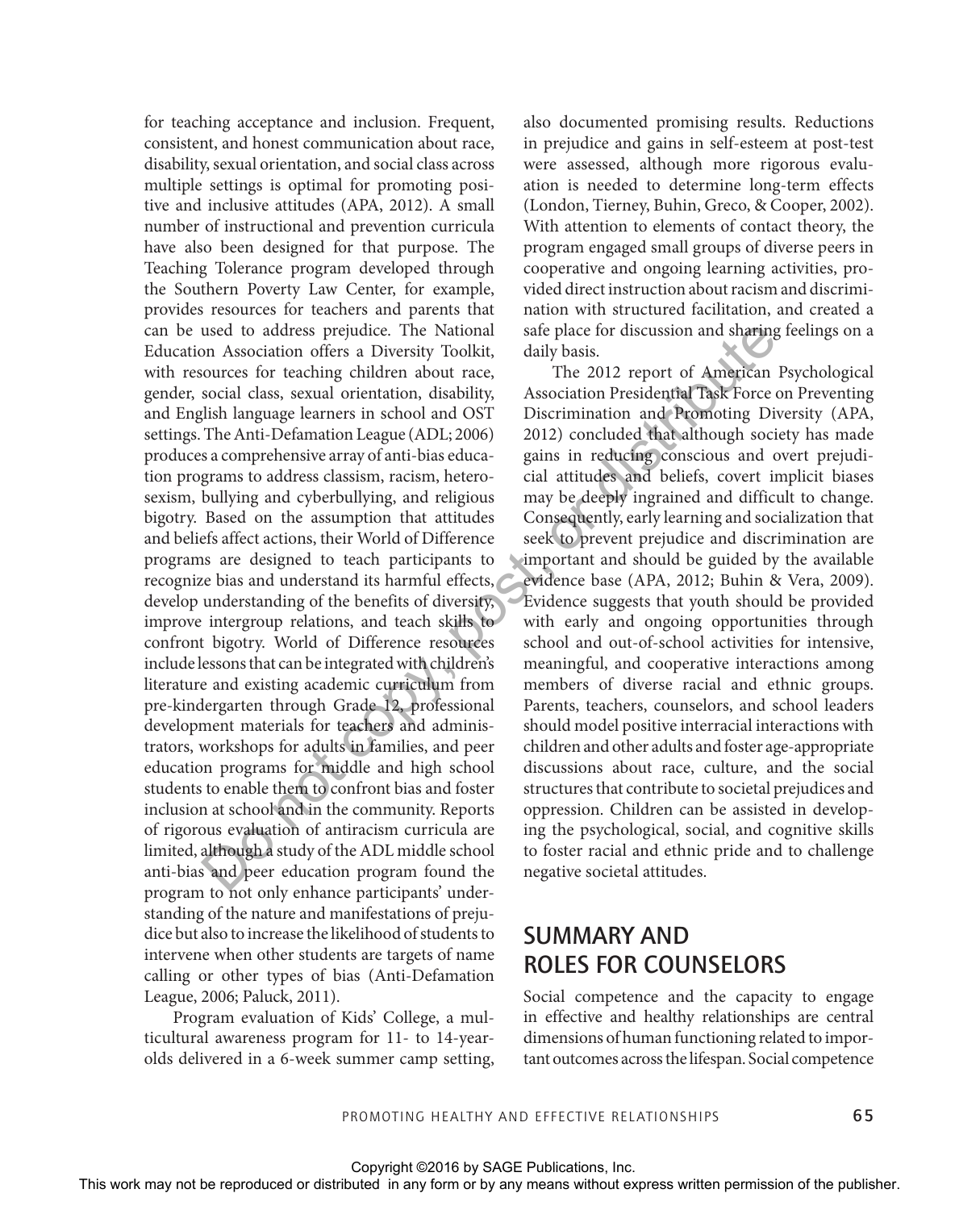for teaching acceptance and inclusion. Frequent, consistent, and honest communication about race, disability, sexual orientation, and social class across multiple settings is optimal for promoting positive and inclusive attitudes (APA, 2012). A small number of instructional and prevention curricula have also been designed for that purpose. The Teaching Tolerance program developed through the Southern Poverty Law Center, for example, provides resources for teachers and parents that can be used to address prejudice. The National Education Association offers a Diversity Toolkit, with resources for teaching children about race, gender, social class, sexual orientation, disability, and English language learners in school and OST settings. The Anti-Defamation League (ADL; 2006) produces a comprehensive array of anti-bias education programs to address classism, racism, heterosexism, bullying and cyberbullying, and religious bigotry. Based on the assumption that attitudes and beliefs affect actions, their World of Difference programs are designed to teach participants to recognize bias and understand its harmful effects, develop understanding of the benefits of diversity, improve intergroup relations, and teach skills to confront bigotry. World of Difference resources include lessons that can be integrated with children's literature and existing academic curriculum from pre-kindergarten through Grade 12, professional development materials for teachers and administrators, workshops for adults in families, and peer education programs for middle and high school students to enable them to confront bias and foster inclusion at school and in the community. Reports of rigorous evaluation of antiracism curricula are limited, although a study of the ADL middle school anti-bias and peer education program found the program to not only enhance participants' understanding of the nature and manifestations of prejudice but also to increase the likelihood of students to intervene when other students are targets of name calling or other types of bias (Anti-Defamation League, 2006; Paluck, 2011). Control or the rest of the rest in the rest of the rest or distributed in any means when the reproduced or the rest or the rest or the rest or the rest or the rest or the rest or the rest or the rest or the rest or the re

Program evaluation of Kids' College, a multicultural awareness program for 11- to 14-yearolds delivered in a 6-week summer camp setting,

also documented promising results. Reductions in prejudice and gains in self-esteem at post-test were assessed, although more rigorous evaluation is needed to determine long-term effects (London, Tierney, Buhin, Greco, & Cooper, 2002). With attention to elements of contact theory, the program engaged small groups of diverse peers in cooperative and ongoing learning activities, provided direct instruction about racism and discrimination with structured facilitation, and created a safe place for discussion and sharing feelings on a daily basis.

The 2012 report of American Psychological Association Presidential Task Force on Preventing Discrimination and Promoting Diversity (APA, 2012) concluded that although society has made gains in reducing conscious and overt prejudicial attitudes and beliefs, covert implicit biases may be deeply ingrained and difficult to change. Consequently, early learning and socialization that seek to prevent prejudice and discrimination are important and should be guided by the available evidence base (APA, 2012; Buhin & Vera, 2009). Evidence suggests that youth should be provided with early and ongoing opportunities through school and out-of-school activities for intensive, meaningful, and cooperative interactions among members of diverse racial and ethnic groups. Parents, teachers, counselors, and school leaders should model positive interracial interactions with children and other adults and foster age-appropriate discussions about race, culture, and the social structures that contribute to societal prejudices and oppression. Children can be assisted in developing the psychological, social, and cognitive skills to foster racial and ethnic pride and to challenge negative societal attitudes.

#### SUMMARY AND ROLES FOR COUNSELORS

Social competence and the capacity to engage in effective and healthy relationships are central dimensions of human functioning related to important outcomes across the lifespan. Social competence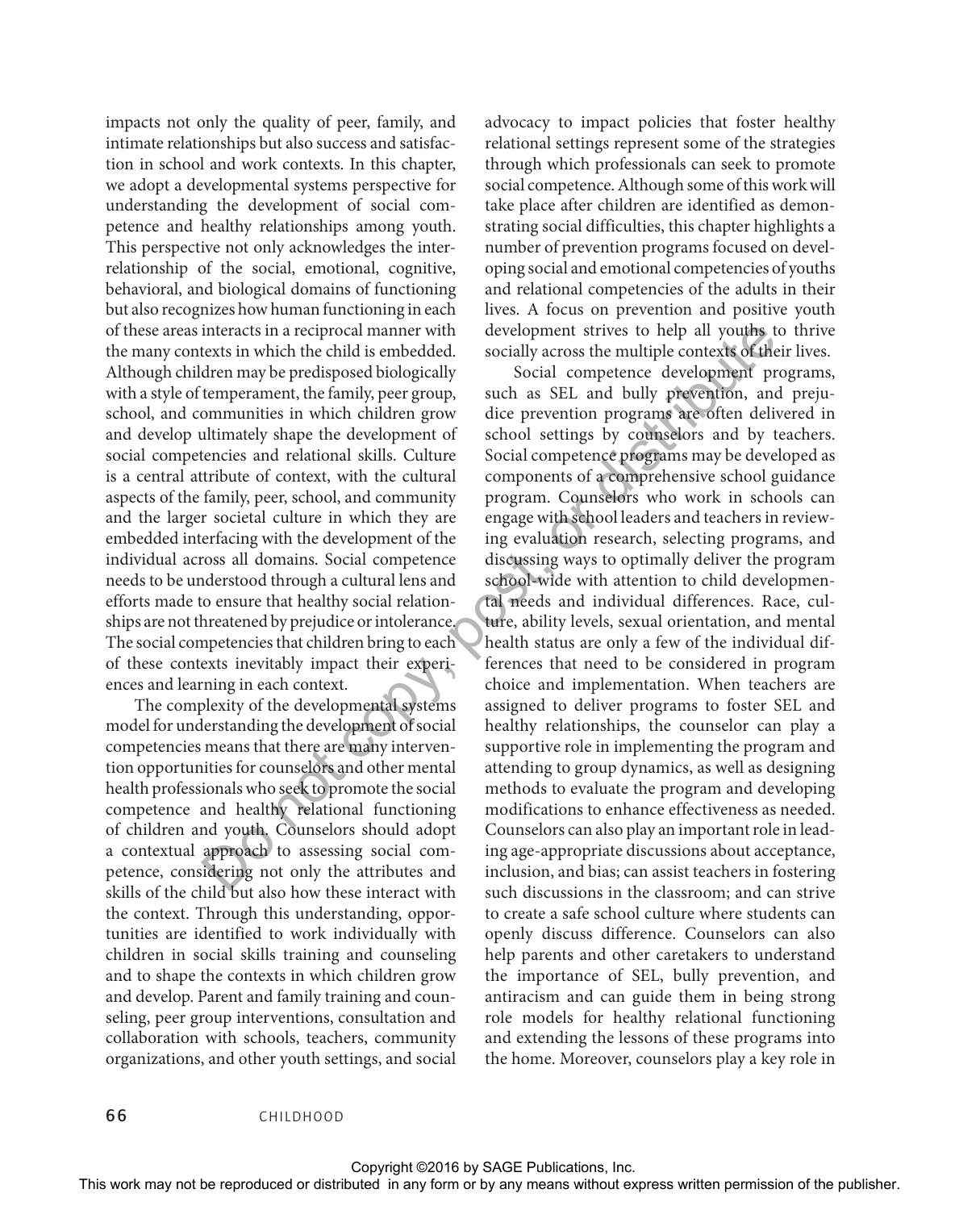impacts not only the quality of peer, family, and intimate relationships but also success and satisfaction in school and work contexts. In this chapter, we adopt a developmental systems perspective for understanding the development of social competence and healthy relationships among youth. This perspective not only acknowledges the interrelationship of the social, emotional, cognitive, behavioral, and biological domains of functioning but also recognizes how human functioning in each of these areas interacts in a reciprocal manner with the many contexts in which the child is embedded. Although children may be predisposed biologically with a style of temperament, the family, peer group, school, and communities in which children grow and develop ultimately shape the development of social competencies and relational skills. Culture is a central attribute of context, with the cultural aspects of the family, peer, school, and community and the larger societal culture in which they are embedded interfacing with the development of the individual across all domains. Social competence needs to be understood through a cultural lens and efforts made to ensure that healthy social relationships are not threatened by prejudice or intolerance. The social competencies that children bring to each of these contexts inevitably impact their experiences and learning in each context.

The complexity of the developmental systems model for understanding the development of social competencies means that there are many intervention opportunities for counselors and other mental health professionals who seek to promote the social competence and healthy relational functioning of children and youth. Counselors should adopt a contextual approach to assessing social competence, considering not only the attributes and skills of the child but also how these interact with the context. Through this understanding, opportunities are identified to work individually with children in social skills training and counseling and to shape the contexts in which children grow and develop. Parent and family training and counseling, peer group interventions, consultation and collaboration with schools, teachers, community organizations, and other youth settings, and social

advocacy to impact policies that foster healthy relational settings represent some of the strategies through which professionals can seek to promote social competence. Although some of this work will take place after children are identified as demonstrating social difficulties, this chapter highlights a number of prevention programs focused on developing social and emotional competencies of youths and relational competencies of the adults in their lives. A focus on prevention and positive youth development strives to help all youths to thrive socially across the multiple contexts of their lives.

Social competence development programs, such as SEL and bully prevention, and prejudice prevention programs are often delivered in school settings by counselors and by teachers. Social competence programs may be developed as components of a comprehensive school guidance program. Counselors who work in schools can engage with school leaders and teachers in reviewing evaluation research, selecting programs, and discussing ways to optimally deliver the program school-wide with attention to child developmental needs and individual differences. Race, culture, ability levels, sexual orientation, and mental health status are only a few of the individual differences that need to be considered in program choice and implementation. When teachers are assigned to deliver programs to foster SEL and healthy relationships, the counselor can play a supportive role in implementing the program and attending to group dynamics, as well as designing methods to evaluate the program and developing modifications to enhance effectiveness as needed. Counselors can also play an important role in leading age-appropriate discussions about acceptance, inclusion, and bias; can assist teachers in fostering such discussions in the classroom; and can strive to create a safe school culture where students can openly discuss difference. Counselors can also help parents and other caretakers to understand the importance of SEL, bully prevention, and antiracism and can guide them in being strong role models for healthy relational functioning and extending the lessons of these programs into the home. Moreover, counselors play a key role in of the set of the repression in estimate with the content or the representation of the reproduced or distributed or the reproduced or the publisher content of the publisher and computer and computed in the set of the copy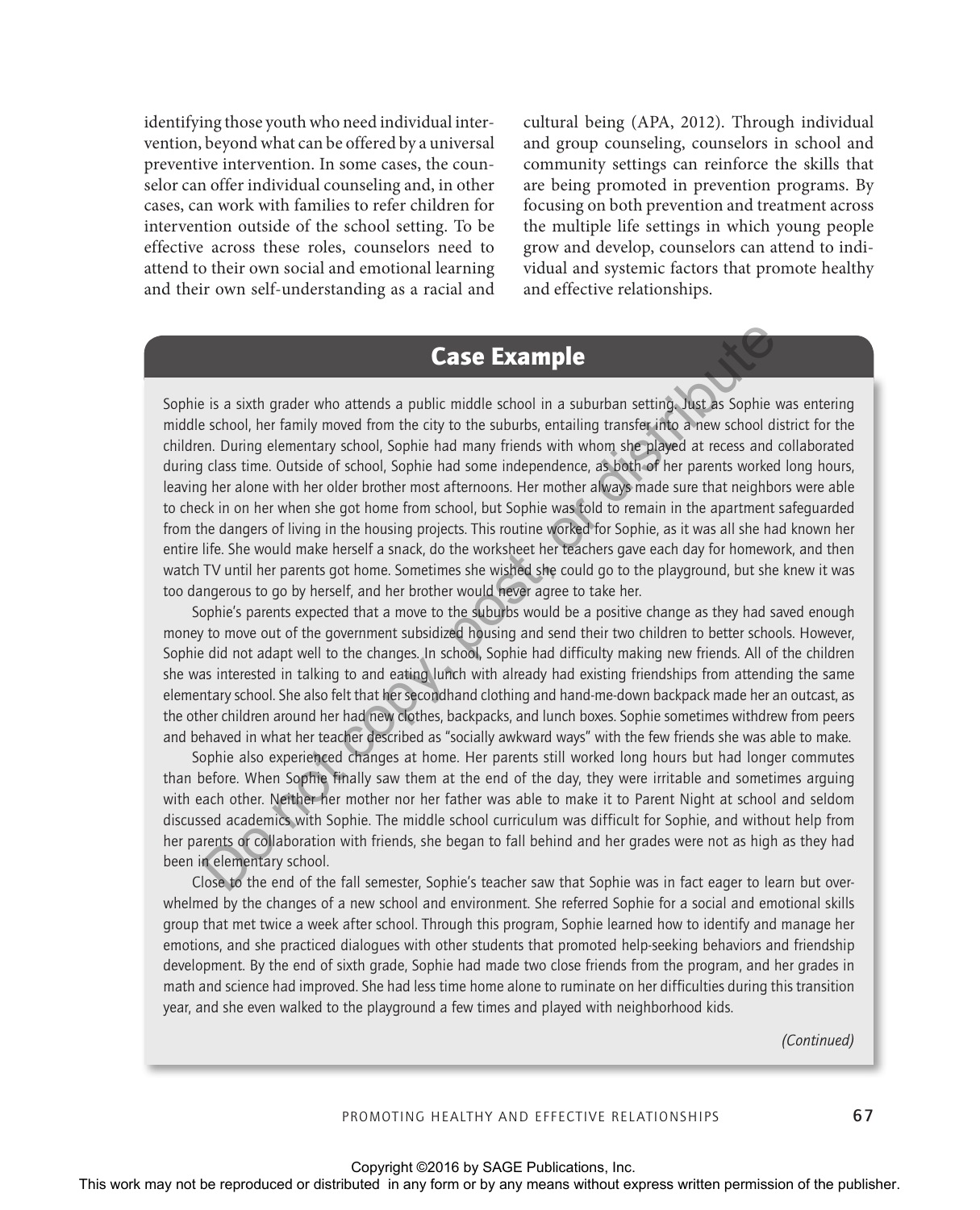identifying those youth who need individual intervention, beyond what can be offered by a universal preventive intervention. In some cases, the counselor can offer individual counseling and, in other cases, can work with families to refer children for intervention outside of the school setting. To be effective across these roles, counselors need to attend to their own social and emotional learning and their own self-understanding as a racial and cultural being (APA, 2012). Through individual and group counseling, counselors in school and community settings can reinforce the skills that are being promoted in prevention programs. By focusing on both prevention and treatment across the multiple life settings in which young people grow and develop, counselors can attend to individual and systemic factors that promote healthy and effective relationships.

#### Case Example

Sophie is a sixth grader who attends a public middle school in a suburban setting. Just as Sophie was entering middle school, her family moved from the city to the suburbs, entailing transfer into a new school district for the children. During elementary school, Sophie had many friends with whom she played at recess and collaborated during class time. Outside of school, Sophie had some independence, as both of her parents worked long hours, leaving her alone with her older brother most afternoons. Her mother always made sure that neighbors were able to check in on her when she got home from school, but Sophie was told to remain in the apartment safeguarded from the dangers of living in the housing projects. This routine worked for Sophie, as it was all she had known her entire life. She would make herself a snack, do the worksheet her teachers gave each day for homework, and then watch TV until her parents got home. Sometimes she wished she could go to the playground, but she knew it was too dangerous to go by herself, and her brother would never agree to take her. Case Example<br>
Sophie is a such goode who alterds a publis middle school in a suburban scaling about Sophie was centering<br>
middle actool for family works from the city to the authoric pertaing characteristic permission dis

Sophie's parents expected that a move to the suburbs would be a positive change as they had saved enough money to move out of the government subsidized housing and send their two children to better schools. However, Sophie did not adapt well to the changes. In school, Sophie had difficulty making new friends. All of the children she was interested in talking to and eating lunch with already had existing friendships from attending the same elementary school. She also felt that her secondhand clothing and hand-me-down backpack made her an outcast, as the other children around her had new clothes, backpacks, and lunch boxes. Sophie sometimes withdrew from peers and behaved in what her teacher described as "socially awkward ways" with the few friends she was able to make.

Sophie also experienced changes at home. Her parents still worked long hours but had longer commutes than before. When Sophie finally saw them at the end of the day, they were irritable and sometimes arguing with each other. Neither her mother nor her father was able to make it to Parent Night at school and seldom discussed academics with Sophie. The middle school curriculum was difficult for Sophie, and without help from her parents or collaboration with friends, she began to fall behind and her grades were not as high as they had been in elementary school.

Close to the end of the fall semester, Sophie's teacher saw that Sophie was in fact eager to learn but overwhelmed by the changes of a new school and environment. She referred Sophie for a social and emotional skills group that met twice a week after school. Through this program, Sophie learned how to identify and manage her emotions, and she practiced dialogues with other students that promoted help-seeking behaviors and friendship development. By the end of sixth grade, Sophie had made two close friends from the program, and her grades in math and science had improved. She had less time home alone to ruminate on her difficulties during this transition year, and she even walked to the playground a few times and played with neighborhood kids.

*(Continued)*

#### PROMOTING HEALTHY AND EFFECTIVE RELATIONSHIPS 67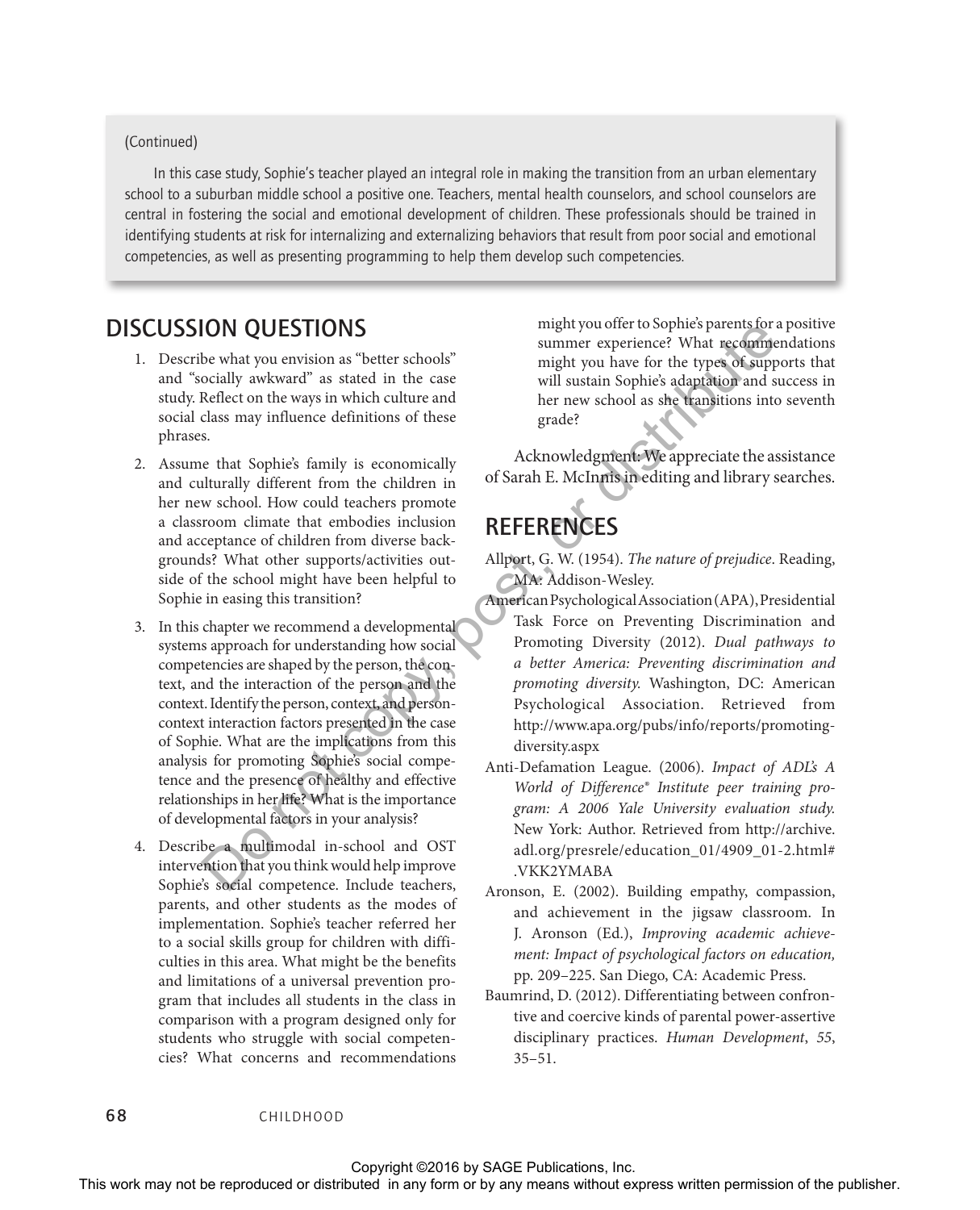#### (Continued)

In this case study, Sophie's teacher played an integral role in making the transition from an urban elementary school to a suburban middle school a positive one. Teachers, mental health counselors, and school counselors are central in fostering the social and emotional development of children. These professionals should be trained in identifying students at risk for internalizing and externalizing behaviors that result from poor social and emotional competencies, as well as presenting programming to help them develop such competencies.

#### DISCUSSION QUESTIONS

- 1. Describe what you envision as "better schools" and "socially awkward" as stated in the case study. Reflect on the ways in which culture and social class may influence definitions of these phrases.
- 2. Assume that Sophie's family is economically and culturally different from the children in her new school. How could teachers promote a classroom climate that embodies inclusion and acceptance of children from diverse backgrounds? What other supports/activities outside of the school might have been helpful to Sophie in easing this transition?
- 3. In this chapter we recommend a developmental systems approach for understanding how social competencies are shaped by the person, the context, and the interaction of the person and the context. Identify the person, context, and personcontext interaction factors presented in the case of Sophie. What are the implications from this analysis for promoting Sophie's social competence and the presence of healthy and effective relationships in her life? What is the importance of developmental factors in your analysis?
- 4. Describe a multimodal in-school and OST intervention that you think would help improve Sophie's social competence. Include teachers, parents, and other students as the modes of implementation. Sophie's teacher referred her to a social skills group for children with difficulties in this area. What might be the benefits and limitations of a universal prevention program that includes all students in the class in comparison with a program designed only for students who struggle with social competencies? What concerns and recommendations **DISCUSSION QUEST may not be reproduced or the repression of the representation of the representation of the reproduced anisothesis dependent in consideration of the publisher. This with a specific distributed in any inte**

might you offer to Sophie's parents for a positive summer experience? What recommendations might you have for the types of supports that will sustain Sophie's adaptation and success in her new school as she transitions into seventh grade?

Acknowledgment: We appreciate the assistance of Sarah E. McInnis in editing and library searches.

### **REFERENCES**

- Allport, G. W. (1954). *The nature of prejudice*. Reading, MA: Addison-Wesley.
- American Psychological Association (APA), Presidential Task Force on Preventing Discrimination and Promoting Diversity (2012). *Dual pathways to a better America: Preventing discrimination and promoting diversity.* Washington, DC: American Psychological Association. Retrieved from http://www.apa.org/pubs/info/reports/promotingdiversity.aspx
- Anti-Defamation League. (2006). *Impact of ADL's A World of Difference® Institute peer training program: A 2006 Yale University evaluation study.* New York: Author. Retrieved from http://archive. adl.org/presrele/education\_01/4909\_01-2.html# .VKK2YMABA
- Aronson, E. (2002). Building empathy, compassion, and achievement in the jigsaw classroom. In J. Aronson (Ed.), *Improving academic achievement: Impact of psychological factors on education,*  pp. 209–225. San Diego, CA: Academic Press.
- Baumrind, D. (2012). Differentiating between confrontive and coercive kinds of parental power-assertive disciplinary practices. *Human Development*, *55*, 35–51.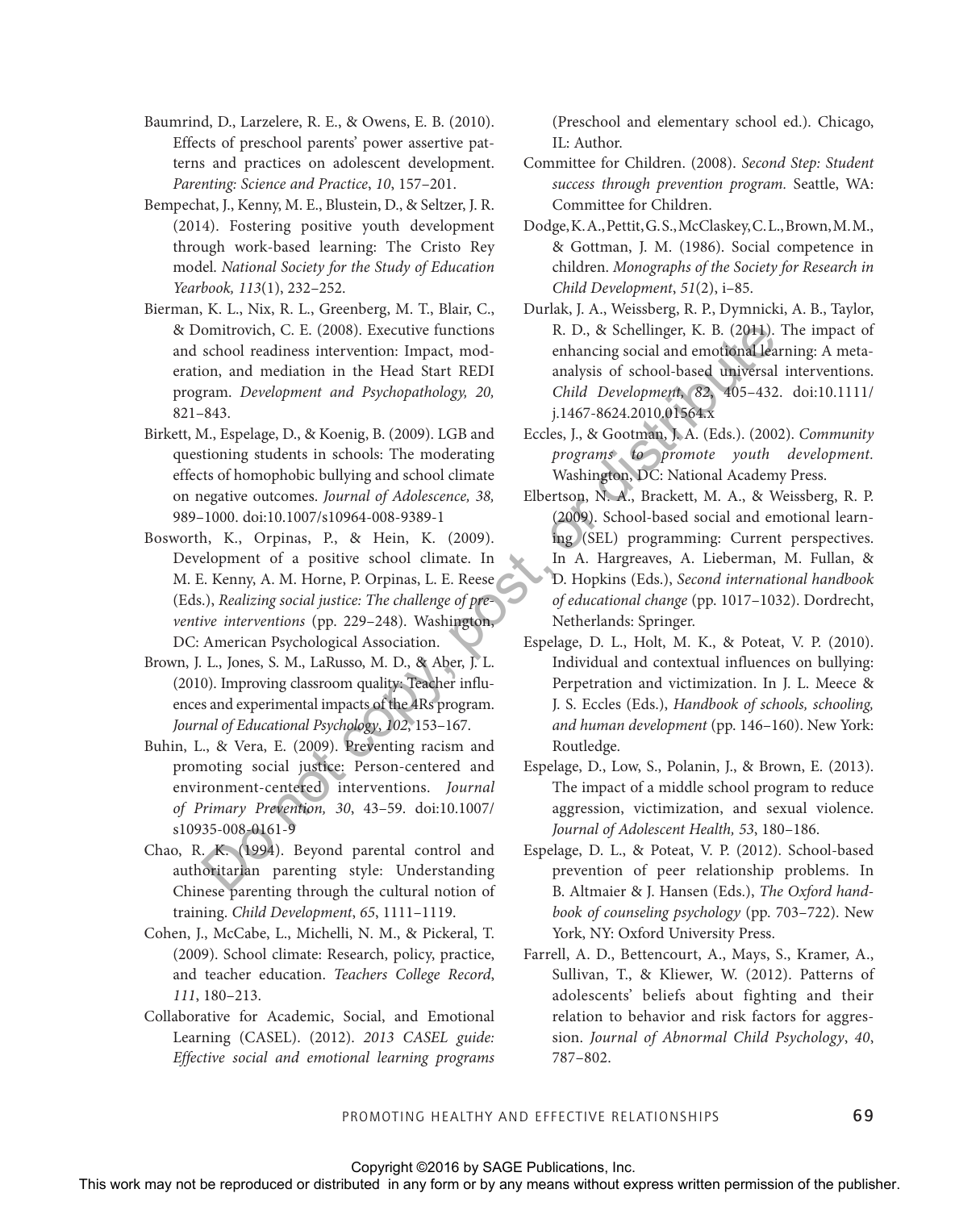- Baumrind, D., Larzelere, R. E., & Owens, E. B. (2010). Effects of preschool parents' power assertive patterns and practices on adolescent development. *Parenting: Science and Practice*, *10*, 157–201.
- Bempechat, J., Kenny, M. E., Blustein, D., & Seltzer, J. R. (2014). Fostering positive youth development through work-based learning: The Cristo Rey model. *National Society for the Study of Education Yearbook, 113*(1), 232–252.
- Bierman, K. L., Nix, R. L., Greenberg, M. T., Blair, C., & Domitrovich, C. E. (2008). Executive functions and school readiness intervention: Impact, moderation, and mediation in the Head Start REDI program. *Development and Psychopathology, 20,*  821–843.
- Birkett, M., Espelage, D., & Koenig, B. (2009). LGB and questioning students in schools: The moderating effects of homophobic bullying and school climate on negative outcomes. *Journal of Adolescence, 38,* 989–1000. doi:10.1007/s10964-008-9389-1
- Bosworth, K., Orpinas, P., & Hein, K. (2009). Development of a positive school climate. In M. E. Kenny, A. M. Horne, P. Orpinas, L. E. Reese (Eds.), *Realizing social justice: The challenge of preventive interventions* (pp. 229–248). Washington, DC: American Psychological Association.
- Brown, J. L., Jones, S. M., LaRusso, M. D., & Aber, J. L. (2010). Improving classroom quality: Teacher influences and experimental impacts of the 4Rs program. *Journal of Educational Psychology*, *102*, 153–167.
- Buhin, L., & Vera, E. (2009). Preventing racism and promoting social justice: Person-centered and environment-centered interventions. *Journal of Primary Prevention, 30*, 43–59. doi:10.1007/ s10935-008-0161-9
- Chao, R. K. (1994). Beyond parental control and authoritarian parenting style: Understanding Chinese parenting through the cultural notion of training. *Child Development*, *65*, 1111–1119.
- Cohen, J., McCabe, L., Michelli, N. M., & Pickeral, T. (2009). School climate: Research, policy, practice, and teacher education. *Teachers College Record*, *111*, 180–213.
- Collaborative for Academic, Social, and Emotional Learning (CASEL). (2012). *2013 CASEL guide: Effective social and emotional learning programs*

(Preschool and elementary school ed.). Chicago, IL: Author.

- Committee for Children. (2008). *Second Step: Student success through prevention program.* Seattle, WA: Committee for Children.
- Dodge, K. A., Pettit, G. S., McClaskey, C. L., Brown, M. M., & Gottman, J. M. (1986). Social competence in children. *Monographs of the Society for Research in Child Development*, *51*(2), i–85.
- Durlak, J. A., Weissberg, R. P., Dymnicki, A. B., Taylor, R. D., & Schellinger, K. B. (2011). The impact of enhancing social and emotional learning: A metaanalysis of school-based universal interventions. *Child Development, 82*, 405–432. doi:10.1111/ j.1467-8624.2010.01564.x
- Eccles, J., & Gootman, J. A. (Eds.). (2002). *Community programs to promote youth development.* Washington, DC: National Academy Press.
- Elbertson, N. A., Brackett, M. A., & Weissberg, R. P. (2009). School-based social and emotional learning (SEL) programming: Current perspectives. In A. Hargreaves, A. Lieberman, M. Fullan, & D. Hopkins (Eds.), *Second international handbook of educational change* (pp. 1017–1032). Dordrecht, Netherlands: Springer. R Documering in the Balaca China (E. 2008). Except the form of the publisher in any form or distributed in the Balaca State RED and the reproduced in any form or by any means with the copy of the state of the publisher in
	- Espelage, D. L., Holt, M. K., & Poteat, V. P. (2010). Individual and contextual influences on bullying: Perpetration and victimization. In J. L. Meece & J. S. Eccles (Eds.), *Handbook of schools, schooling, and human development* (pp. 146–160). New York: Routledge.
	- Espelage, D., Low, S., Polanin, J., & Brown, E. (2013). The impact of a middle school program to reduce aggression, victimization, and sexual violence. *Journal of Adolescent Health, 53*, 180–186.
	- Espelage, D. L., & Poteat, V. P. (2012). School-based prevention of peer relationship problems. In B. Altmaier & J. Hansen (Eds.), *The Oxford handbook of counseling psychology* (pp. 703–722). New York, NY: Oxford University Press.
	- Farrell, A. D., Bettencourt, A., Mays, S., Kramer, A., Sullivan, T., & Kliewer, W. (2012). Patterns of adolescents' beliefs about fighting and their relation to behavior and risk factors for aggression. *Journal of Abnormal Child Psychology*, *40*, 787–802.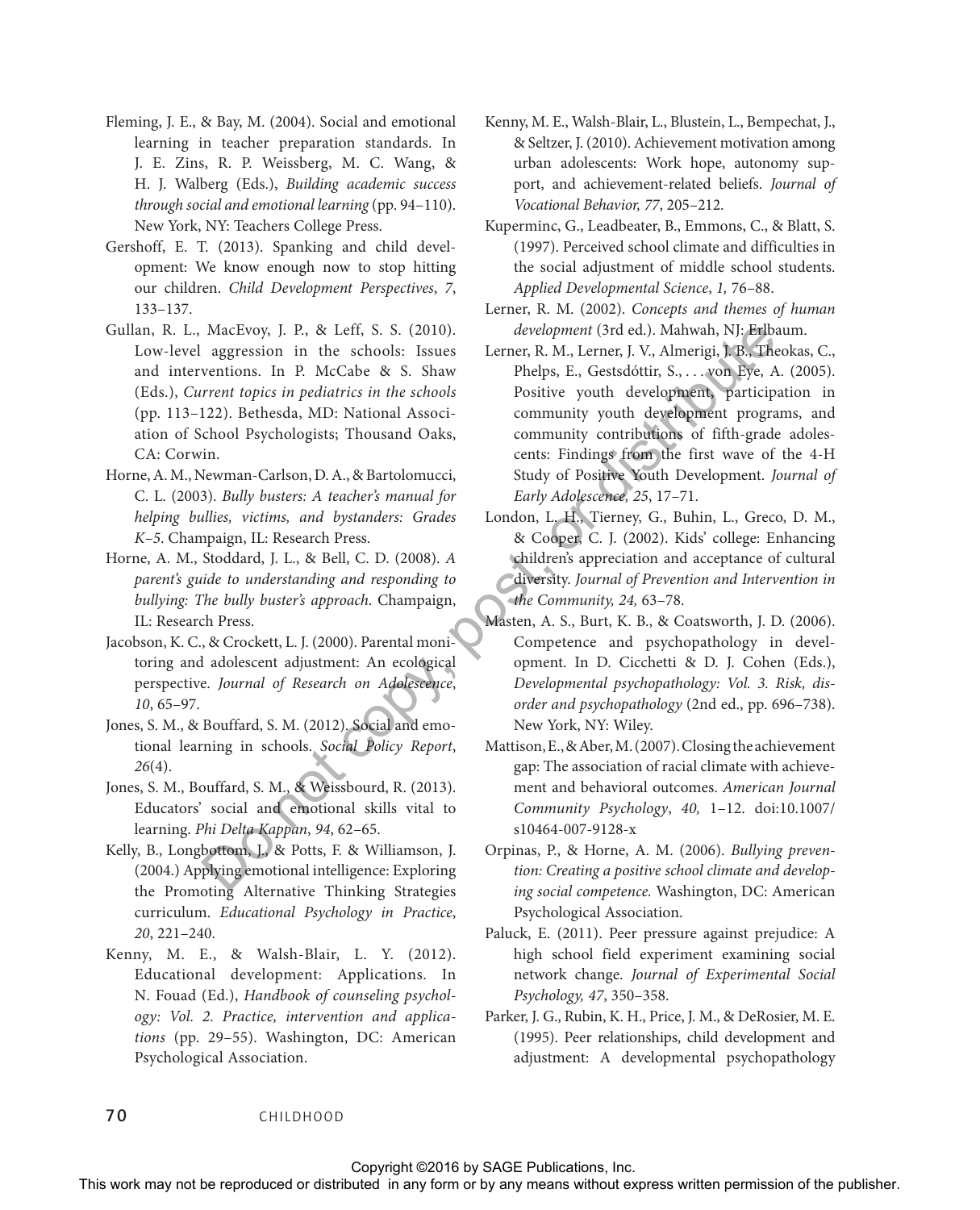- Fleming, J. E., & Bay, M. (2004). Social and emotional learning in teacher preparation standards. In J. E. Zins, R. P. Weissberg, M. C. Wang, & H. J. Walberg (Eds.), *Building academic success through social and emotional learning* (pp. 94–110). New York, NY: Teachers College Press.
- Gershoff, E. T. (2013). Spanking and child development: We know enough now to stop hitting our children. *Child Development Perspectives*, *7*, 133–137.
- Gullan, R. L., MacEvoy, J. P., & Leff, S. S. (2010). Low-level aggression in the schools: Issues and interventions. In P. McCabe & S. Shaw (Eds.), *Current topics in pediatrics in the schools* (pp. 113–122). Bethesda, MD: National Association of School Psychologists; Thousand Oaks, CA: Corwin.
- Horne, A. M., Newman-Carlson, D. A., & Bartolomucci, C. L. (2003). *Bully busters: A teacher's manual for helping bullies, victims, and bystanders: Grades K–5*. Champaign, IL: Research Press.
- Horne, A. M., Stoddard, J. L., & Bell, C. D. (2008). *A parent's guide to understanding and responding to bullying: The bully buster's approach*. Champaign, IL: Research Press.
- Jacobson, K. C., & Crockett, L. J. (2000). Parental monitoring and adolescent adjustment: An ecological perspective. *Journal of Research on Adolescence*, *10*, 65–97.
- Jones, S. M., & Bouffard, S. M. (2012). Social and emotional learning in schools. *Social Policy Report*, *26*(4).
- Jones, S. M., Bouffard, S. M., & Weissbourd, R. (2013). Educators' social and emotional skills vital to learning. *Phi Delta Kappan*, *94*, 62–65.
- Kelly, B., Longbottom, J., & Potts, F. & Williamson, J. (2004.) Applying emotional intelligence: Exploring the Promoting Alternative Thinking Strategies curriculum. *Educational Psychology in Practice*, *20*, 221–240.
- Kenny, M. E., & Walsh-Blair, L. Y. (2012). Educational development: Applications. In N. Fouad (Ed.), *Handbook of counseling psychology: Vol. 2. Practice, intervention and applications* (pp. 29–55). Washington, DC: American Psychological Association.
- Kenny, M. E., Walsh-Blair, L., Blustein, L., Bempechat, J., & Seltzer, J. (2010). Achievement motivation among urban adolescents: Work hope, autonomy support, and achievement-related beliefs. *Journal of Vocational Behavior, 77*, 205–212.
- Kuperminc, G., Leadbeater, B., Emmons, C., & Blatt, S. (1997). Perceived school climate and difficulties in the social adjustment of middle school students. *Applied Developmental Science*, *1,* 76–88.
- Lerner, R. M. (2002). *Concepts and themes of human development* (3rd ed.). Mahwah, NJ: Erlbaum.
- Lerner, R. M., Lerner, J. V., Almerigi, J. B., Theokas, C., Phelps, E., Gestsdóttir, S., . . . von Eye, A. (2005). Positive youth development, participation in community youth development programs, and community contributions of fifth-grade adolescents: Findings from the first wave of the 4-H Study of Positive Youth Development. *Journal of Early Adolescence, 25*, 17–71. Culture, E. P. S. (2002). However (Solid). The results and the results of distribution in EX (2002). The results with the publisher of the publisher of the publisher of the publisher of the publisher of the publisher of t
	- London, L. H., Tierney, G., Buhin, L., Greco, D. M., & Cooper, C. J. (2002). Kids' college: Enhancing children's appreciation and acceptance of cultural diversity. *Journal of Prevention and Intervention in the Community, 24,* 63–78.
	- Masten, A. S., Burt, K. B., & Coatsworth, J. D. (2006). Competence and psychopathology in development. In D. Cicchetti & D. J. Cohen (Eds.), *Developmental psychopathology: Vol. 3. Risk, disorder and psychopathology* (2nd ed., pp. 696–738). New York, NY: Wiley.
	- Mattison, E., & Aber, M. (2007). Closing the achievement gap: The association of racial climate with achievement and behavioral outcomes. *American Journal Community Psychology*, *40,* 1–12. doi:10.1007/ s10464-007-9128-x
	- Orpinas, P., & Horne, A. M. (2006). *Bullying prevention: Creating a positive school climate and developing social competence.* Washington, DC: American Psychological Association.
	- Paluck, E. (2011). Peer pressure against prejudice: A high school field experiment examining social network change. *Journal of Experimental Social Psychology, 47*, 350–358.
	- Parker, J. G., Rubin, K. H., Price, J. M., & DeRosier, M. E. (1995). Peer relationships, child development and adjustment: A developmental psychopathology